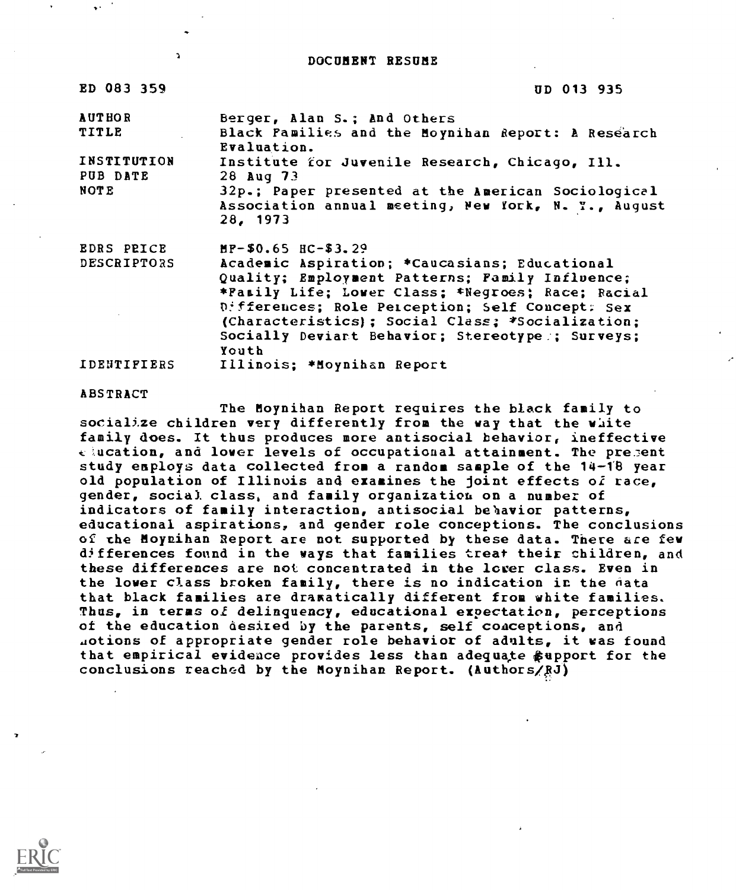DOCUMENT RESUME

| UD 013 935                                                        |
|-------------------------------------------------------------------|
| Berger, Alan S.; And Others                                       |
| Black Pamilies and the Moynihan Report: A Research<br>Evaluation. |
| Institute for Juvenile Research, Chicago, Ill.                    |
| 28 Aug 73                                                         |
| 32p.; Paper presented at the American Sociological                |
| Association annual meeting, New York, N. Y., August<br>28, 1973   |
| $MP-$0.65$ $HC-$3.29$                                             |
| Academic Aspiration; *Caucasians; Educational                     |
| Quality; Employment Patterns; Family Influence;                   |
| *Family Life; Lower Class; *Negroes; Race; Racial                 |
| Differences; Role Perception; Self Concept: Sex                   |
| (Characteristics); Social Class; *Socialization;                  |
| Socially Deviart Behavior; Stereotype ; Surveys;                  |
| Youth                                                             |
| $\epsilon$<br>Illinois; *Moynihan Report                          |
|                                                                   |

#### ABSTRACT

The Moynihan Report requires the black family to socialize children very differently from the way that the white family does. It thus produces more antisocial behavior, ineffective k:ucation, and lower levels of occupational attainment. The pre.7ent study employs data collected from a random sample of the 14-18 year old population of Illinois and examines the joint effects of race, gender, social class, and family organization on a number of indicators of family interaction, antisocial behavior patterns, educational aspirations, and gender role conceptions. The conclusions of the Moynihan Report are not supported by these data. There are few differences found in the ways that families treat their children, and these differences are not concentrated in the lower class. Even in the lower class broken family, there is no indication in the fata that black families are dramatically different from white families. Thus, in terms of delinquency, educational expectation, perceptions of the education desired by the parents, self conceptions, and .potions of appropriate gender role behavior of adults, it was found that empirical evidence provides less than adequate \$upport for the conclusions reached by the Moynihan Report. (Authors/RJ)

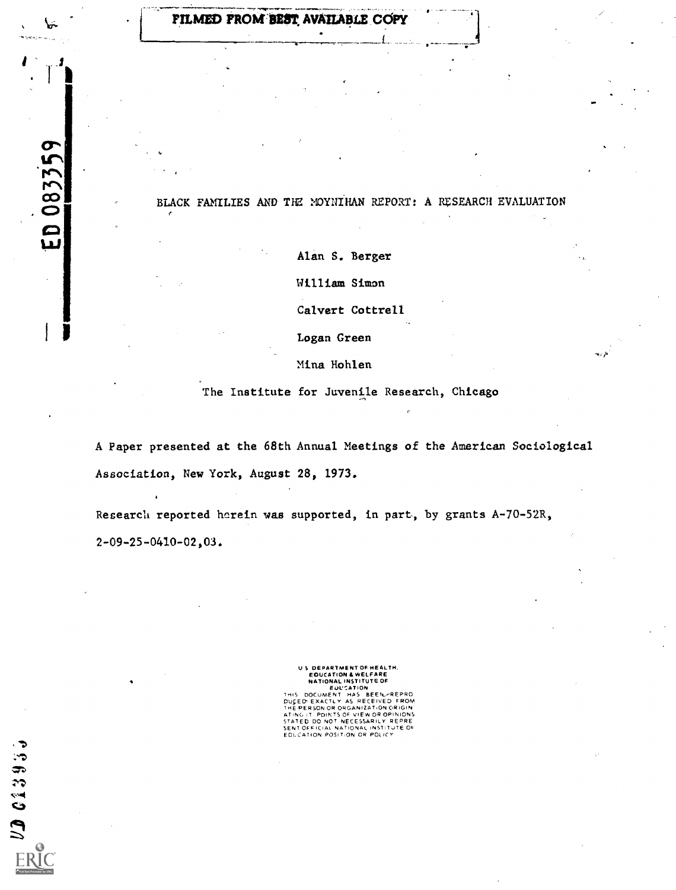# FILMED FROM BEST AVAILABLE COPY

ED 083359

 $202395$ 

## BLACK FAMILIES AND THE MOYNIHAN REPORT: A RESEARCH EVALUATION

Alan S. Berger

William Simon

Calvert Cottrell

Logan Green

Mina Hohlen

The Institute for Juvenile Research, Chicago

A Paper presented at the 68th Annual Meetings of the American Sociological Association, New York, August 28, 1973.

Research reported herein was supported, in part, by grants A-70-52R, 2-09-25-0410-02,03.

> U 5 DEPARTMENT OF HEALTH,<br>EDUCATION & WELFARE<br>NATIONAL INSTITUTE OF EUL'SATION<br>THIS DOCUMENT HAS BEEN-REPRO<br>DUCED EXACTLY AS RECEIVED FROM<br>THE PERSON OR ORGANIZATION ORIGIN ATING IT POINTS OF VIEW OR OPINIONS<br>STATED DO NOT NECESSARILY REPRE<br>SENTOFFICIAL NATIONAL INSTITUTE OF<br>EOLCATION POS(TION OR POLICY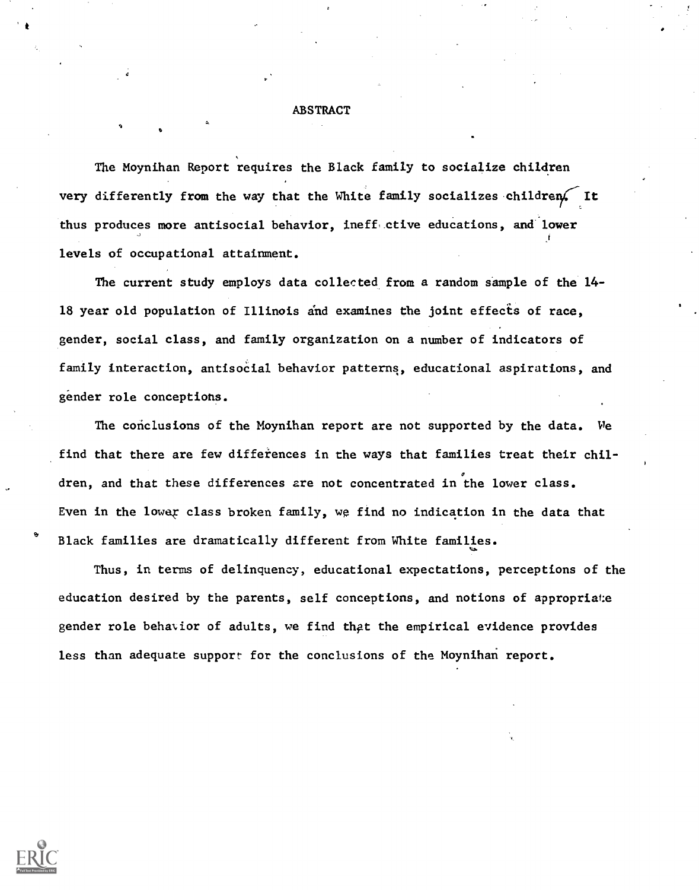## ABSTRACT

The Moynihan Report requires the Black family to socialize children very differently from the way that the White family socializes children. It thus produces more antisocial behavior, ineff ctive educations, and lower levels of occupational attainment.

The current study employs data collected from a random sample of the 14- 18 year old population of Illinois and examines the joint effects of race, gender, social class, and family organization on a number of indicators of family interaction, antisocial behavior patterns, educational aspirations, and gender role conceptions.

The conclusions of the Moynihan report are not supported by the data. We find that there are few differences in the ways that families treat their children, and that these differences are not concentrated in the lower class. Even in the lowar class broken family, we find no indication in the data that Black families are dramatically different from White families.

Thus, in terms of delinquency, educational expectations, perceptions of the education desired by the parents, self conceptions, and notions of appropriate gender role behavior of adults, we find that the empirical evidence provides less than adequate support for the conclusions of the Moynihan report.



\*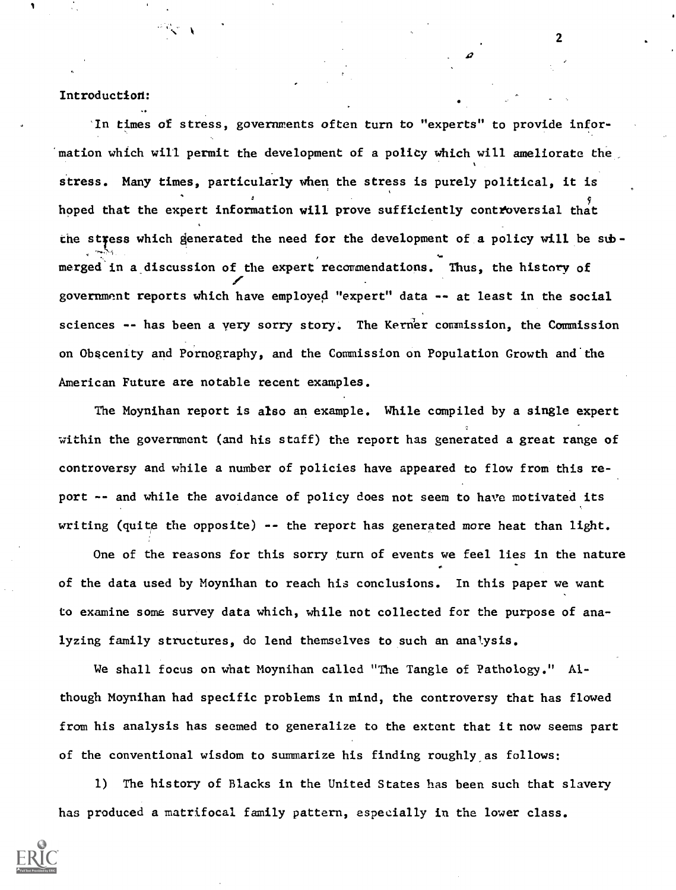## Introduction:

in times of stress, governments often turn to "experts" to provide infor mation which will permit the development of a policy which will ameliorate the stress. Many times, particularly when the stress is purely political, it is hoped that the expert information will prove sufficiently controversial that the stress which generated the need for the development of a policy will be sub-S. merged in a discussion of the expert recommendations. Thus, the history of ir ann an tgovernment reports which have employed "expert" data -- at least in the social sciences -- has been a very sorry story. The Kerner commission, the Commission on Obscenity and Pornography, and the Commission on Population Growth and the American Future are notable recent examples.

The Moynihan report is also an example. While compiled by a single expert within the government (and his staff) the report has generated a great range of controversy and while a number of policies have appeared to flow from this report -- and while the avoidance of policy does not seem to have motivated its writing (quite the opposite) -- the report has generated more heat than light.

One of the reasons for this sorry turn of events we feel lies in the nature of the data used by Moynihan to reach his conclusions. In this paper we want to examine some survey data which, while not collected for the purpose of analyzing family structures, do lend themselves to such an analysis.

We shall focus on what Moynihan called "The Tangle of Pathology." Although Moynihan had specific problems in mind, the controversy that has flowed from his analysis has seemed to generalize to the extent that it now seems part of the conventional wisdom to summarize his finding roughly as follows:

1) The history of Blacks in the United States has been such that slavery has produced a matrifocal family pattern, especially in the lower class.

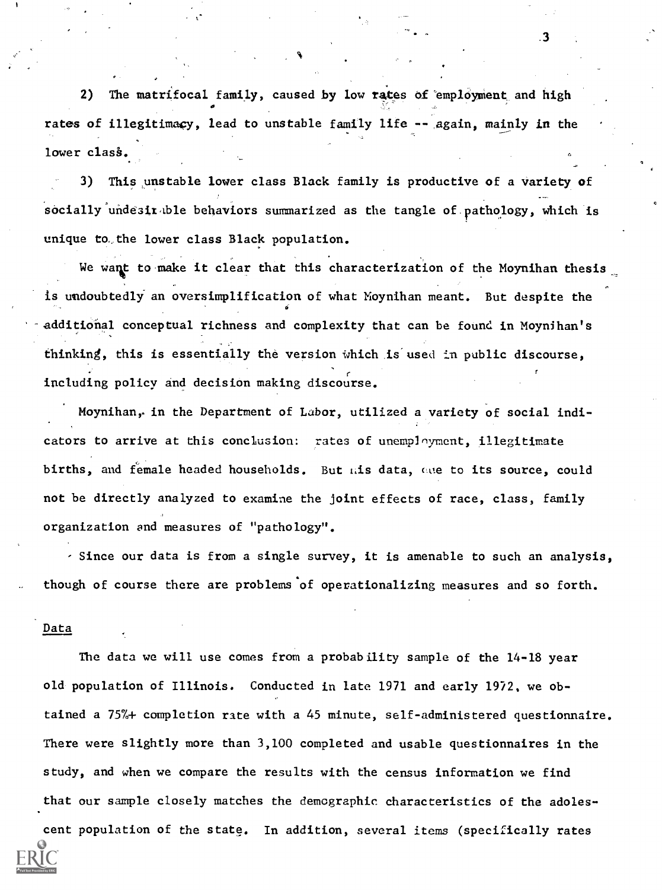2) The matrifocal family, caused by low rates of 'employment and high rates of illegitimacy, lead to unstable family life -- again, mainly in the lower class.

.3

3) This unstable lower class Black family is productive of a variety of socially undesit ble behaviors summarized as the tangle of pathology, which is unique to the lower class Black population.

We want to make it clear that this characterization of the Moynihan thesis is undoubtedly an oversimplification of what Moynihan meant. But despite the additional conceptual richness and complexity that can be found in Moynihan's thinking, this is essentially the version Which is'used in public discourse, including policy and decision making discourse.

Moynihan, in the Department of Labor, utilized a variety of social indicators to arrive at this conclusion: rates of unemployment, illegitimate births, and female headed households. But als data, are to its source, could not be directly analyzed to examine the joint effects of race, class, family organization and measures of "pathology".

- Since our data is from a single survey, it is amenable to such an analysis, though of course there are problems'of operationalizing measures and so forth.

#### Data

The data we will use comes from a probability sample of the 14-18 year old population of Illinois. Conducted in late 1971 and early 1972, we obtained a 757+ completion rate with a 45 minute, self-administered questionnaire. There were slightly more than 3,100 completed and usable questionnaires in the study, and when we compare the results with the census information we find that our sample closely matches the demographic characteristics of the adoles-

cent population of the state. In addition, several items (specifically rates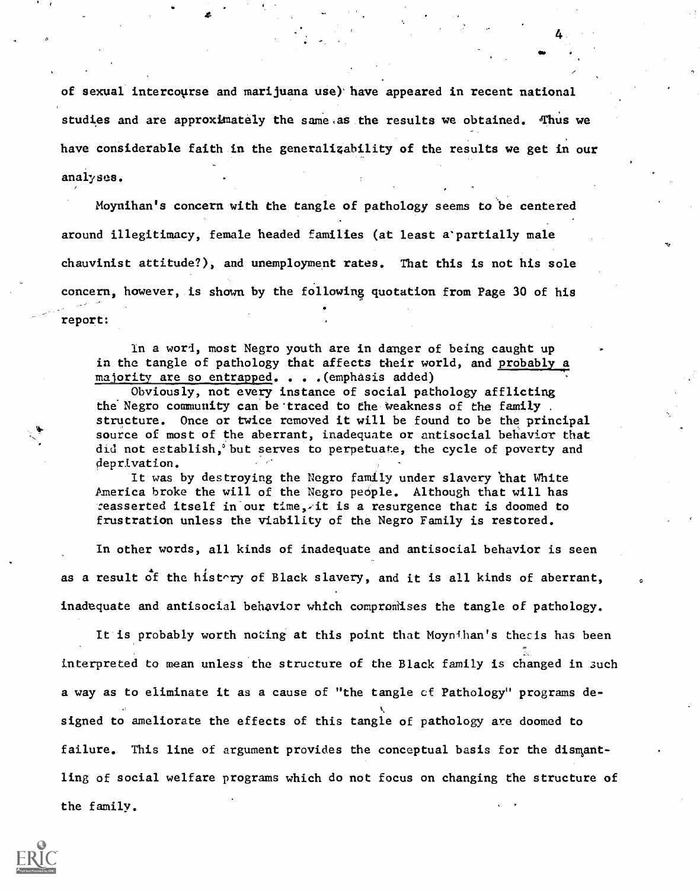of sexual intercourse and marijuana use) have appeared in recent national studies and are approximately the same as the results we obtained. Thus we have considerable faith in the generalizability of the results we get in our analyses.

ei <sup>a</sup>

Moynihan's concern with the tangle of pathology seems to be centered around illegitimacy, female headed families (at least a'partially male chauvinist attitude?), and unemployment rates. That this is not his sole concern, however, is shown by the following quotation from Page 30 of his report:

In a wort, most Negro youth are in danger of being caught up in the tangle of pathology that affects their world, and probably a majority are so entrapped. . . .(emphasis added)

Obviously, not every instance of social pathology afflicting the Negro community can be traced to the weakness of the family. structure. Once or twice removed it will be found to be the principal source of most of the aberrant, inadequate or antisocial behavior that did not establish,°but serves to perpetuate, the cycle of poverty and deprivation.

It was by destroying the Negro family under slavery 'that White America broke the will of the Negro people. Although that will has reasserted itself in our time,-it is a resurgence that is doomed to frustration unless the viability of the Negro Family is restored.

In other words, all kinds of inadequate and antisocial behavior is seen as a result of the histary of Black slavery, and it is all kinds of aberrant, inadequate and antisocial behavior which compromises the tangle of pathology.

It is probably worth noting at this point that Moynihan's thesis has been interpreted to mean unless'the structure of the Black family is changed in such a way as to eliminate it as a cause of "the tangle cf Pathology" programs designed to ameliorate the effects of this tangle of pathology are doomed to failure. This line of argument provides the conceptual basis for the dismantling of social welfare programs which do not focus on changing the structure of the family.

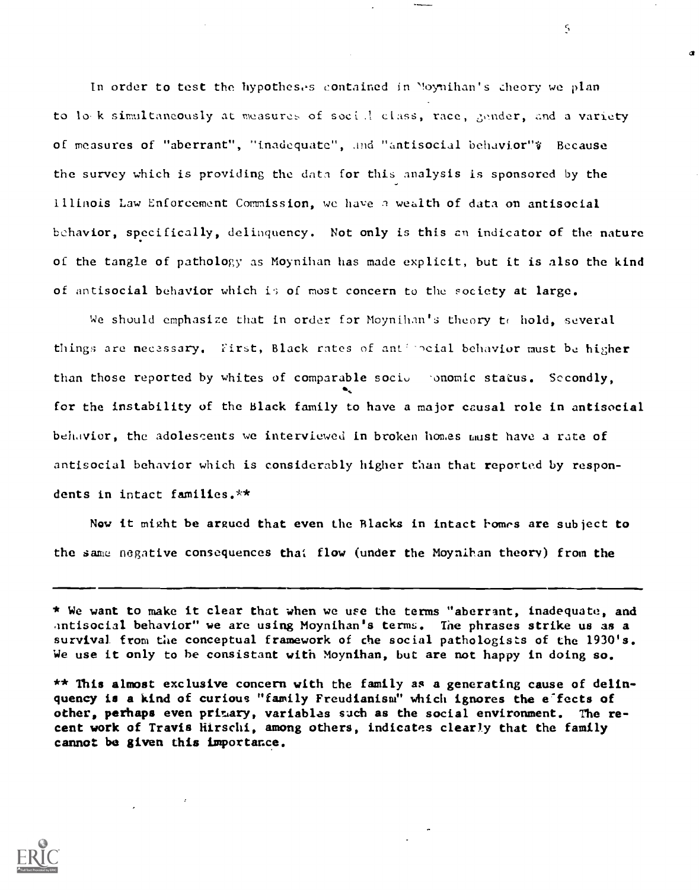In order to test the hypotheses contained in "oynihan's theory we plan to lo k simultaneously at measures of social class, race, gender, and a variety of measures of "aberrant", "inadequate", And "antisocial behavior"; Because the survey which is providing the data for this analysis is sponsored by the Illinois Law Enforcement Commission, we have n wealth of data on antisocial bchavior, specifically, delinquency. Not only is this cn indicator of the nature of the tangle of pathology as Moynihan has made explicit, but it is also the kind of antisocial behavior which is of most concern to the society at large.

We should emphasize that in order for Moynihan's theory to hold, several things are necessary. First, Black rates of anti-poial behavior must be higher than those reported by whites of comparable socio  $\cdot$  phomic status. Secondly, for the instability of the Black family to have a major causal role in antisocial behavior, the adolescents we interviewed in broken homes must have a rate of antisocial behavior which is considerably higher than that reported by respondents in intact families.\*\*

Now it might be argued that even the Blacks in intact homes are subject to the same negative consequences that flow (under the Moynihan theory) from the



<sup>\*</sup> We want to make it clear that when we use the terms "aberrant, inadequate, and antisocial behavior" we are using Moynihan's terms. The phrases strike us as a survival from the conceptual framework of the social pathologists of the 1930's. We use it only to be consistant with Moynihan, but are not happy in doing so.

<sup>\*\*</sup> This almost exclusive concern with the family as a generating cause of delinquency is a kind of curious "family Freudianism" which ignores the e'fects of other, perhaps even primary, variables such as the social environment. The recent work of Travis Hirschi, among others, indicates clearly that the family cannot be given this importance.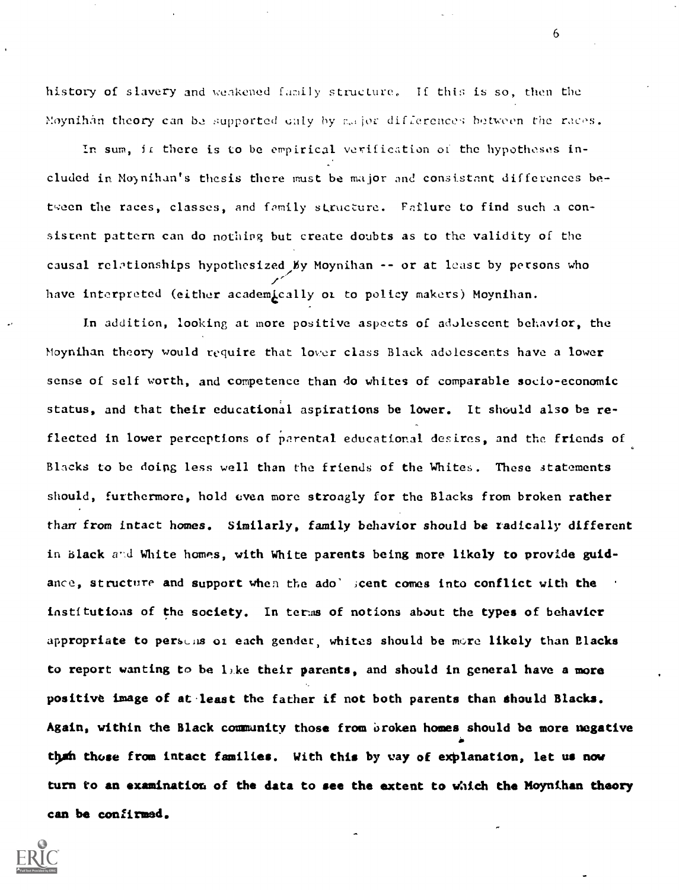history of slavery and weakened family structure. If this is so, then the Moynihan theory can be supported cally by assion differences between the races.

In sum, if there is to be empirical verification of the hypotheses included in Moynihan's thesis there must be major and consistent differences between the races, classes, and family structure. Failure to find such a consistent pattern can do nothing but create doubts as to the validity of the causal relationships hypothesized My Moynihan -- or at least by persons who have interpreted (either academically or to policy makers) Moynihan.

In addition, looking at more positive aspects of adolescent behavior, the Moynihan theory would require that lover class Black adolescents have a lower sense of self worth, and competence than do whites of comparable socio-economic status, and that their educational aspirations be lower. It should also be reflected in lower perceptions of parental educational desires, and the friends of Blacks to be doing less well than the friends of the Whites. These statements should, furthermore, hold even more strongly for the Blacks from broken rather than from intact homes. Similarly, family behavior should be radically different in Black and White homes, with White parents being more likely to provide guidance, structure and support when the ado' scent comes into conflict with the instftutioas of the society. In terns of notions about the types of behavior appropriate to persons of each gender, whites should be more likely than Blacks to report wanting to be like their parents, and should in general have a more positive image of at least the father if not both parents than should Blacks. Again, within the Black community those from oroken homes should be more negative than those from intact families. With this by way of explanation, let us now turn to an examination of the data to see the extent to which the Moynihan theory can be confirmed.

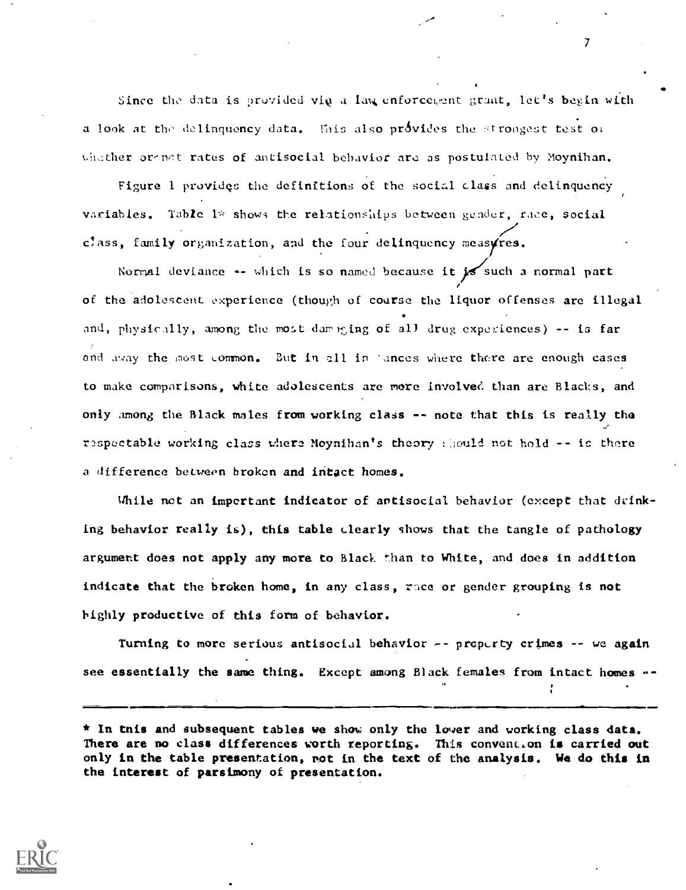Since the data is provided via a law enforcement grant, let's begin with a look at the delinquency data. Ihis also provides the strongest test of whicher or-nct rates of antisocial behavior are as postulated by Moynihan.

Figure 1 provides the definitions of the social class and delinquency variables. Table  $1*$  shows the relationships between gender, race, social //  $c^{\dagger}$  ass, family organization, and the four delinquency measures.

Normal deviance  $\leftarrow$  which is so named because it is such a normal part of the adolescent experience (though of course the liquor offenses are illegal and, physically, among the most damening of all drug experiences) -- is far and away the most common. But in all in 'ances where there are enough cases to make comparisons, white adolescents are more involved than are Blacks, and only among the Black males from working class -- note that this is really the respectable working class where Moynihan's theory should not hold  $\sim$  is there a difference between broken and intact homes.

While not an important indicator of antisocial behavior (except that drinking behavior really is), this table clearly shows that the tangle of pathology argument does not apply any more to Black than to White, and does in addition indicate that the broken home, in any class, race or gender grouping is not highly productive of this form of behavior.

Turning to more serious antisocial behavior  $-$ - property crimes  $-$ - we again see essentially the same thing. Except among Black females from intact homes --

\* In tnis and subsequent tables we show only the lower and working class data. There are no class differences worth reporting. This convention is carried out only in the table presentation, not in the text of the analysis. We do this in the interest of parsimony of presentation.

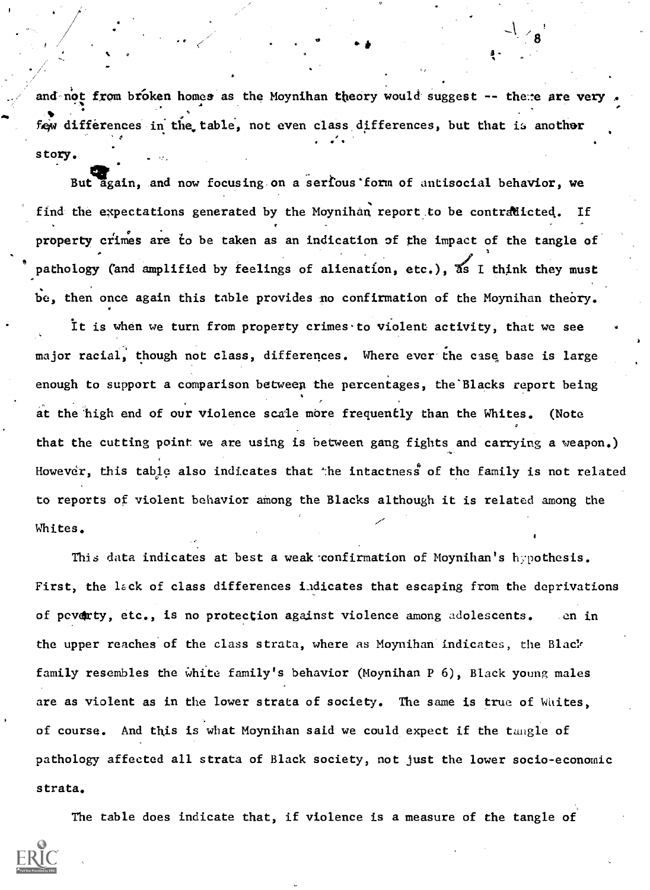and not from broken homes as the Moynihan theory would suggest -- there are ver few differences in the table, not even class differences, but that is another story.

a a shekara

But again, and now focusing on a serious form of antisocial behavior, we find the expectations generated by the Moynihan report to be contradicted. If property crimes are to be taken as an indication of the impact of the tangle of pathology (and amplified by feelings of alienation, etc.), as I think they must be, then once again this table provides no confirmation of the Moynihan thebry.

It is when we turn from property crimes to violent activity, that we see major racial, though not class, differences. Where ever the case base is large enough to support a comparison between the percentages, the Blacks report being at the high end of our violence scale more frequently than the Whites. (Note that the cutting point we are using is between gang fights and carrying a weapon.) However, this table also indicates that the intactness of the family is not related to reports of violent behavior among the Blacks although it is related among the Whites.

This data indicates at best a weak confirmation of Moynihan's hypothesis. First, the lack of class differences Lidicates that escaping from the deprivations of peverty, etc., is no protection against violence among adolescents. en in the upper reaches of the class strata, where as Moynihan indicates, the Blaer family resembles the white family's behavior (Moynihan P 6), Black young males are as violent as in the lower strata of society. The same is true of Whites, of course. And this is what Moynihan said we could expect if the tangle of pathology affected all strata of Black society, not just the lower socio-economic strata.

The table does indicate that, if violence is a measure of the tangle of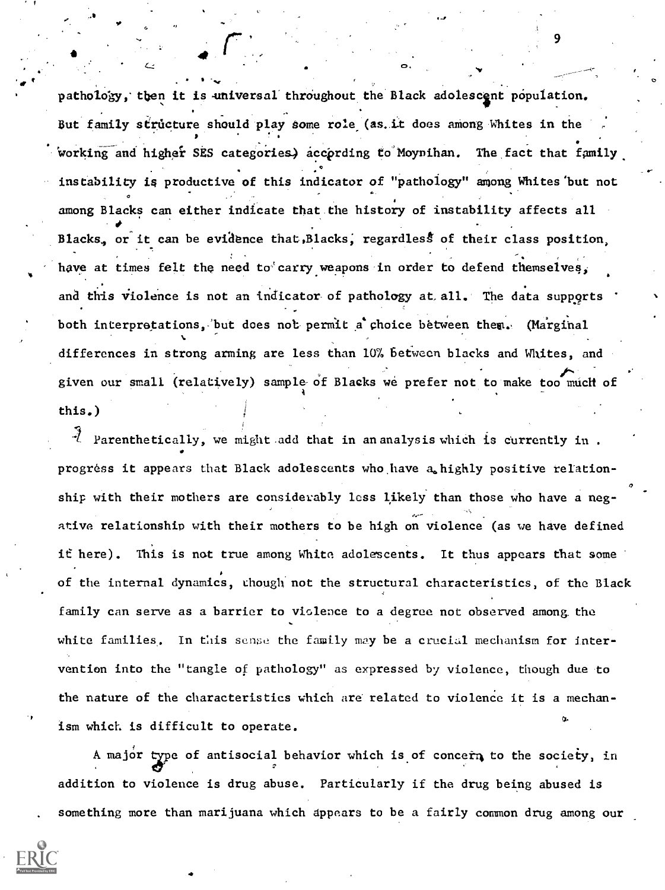pathology, then it is universal throughout the Black adolescent population. But family structure should play some role (as. it does among Whites in the working and higher SES categories) according to Moynihan. The fact that family instability is productive of this indicator of "pathology" among Whites'but not among Blacks can either indicate that the history of instability affects all Blacks, or it can be evidence that, Blacks, regardless of their class position, have at times felt the need to carry weapons in order to defend themselves, and this violence is not an indicator of pathology at all. The data supports both interpretations, but does not permit a choice between them. (Marginal differences in strong arming are less than 10% between blacks and Whites, and given our small (relatively) sample of Blacks we prefer not to make too much of 4 this.)

 $\bullet$  and  $\bullet$  and  $\bullet$ 

. .

 $\mathcal{A}$  Parenthetically, we might add that in an analysis which is currently in. progress it appears that Black adolescents who have a highly positive relationship with their mothers are considerably less likely than those who have a negative relationship with their mothers to be high on violence (as we have defined it here). This is not true among White adolescents. It thus appears that some of the internal dynamics, though not the structural characteristics, of the Black family can serve as a barrier to violence to a degree not observed among the white families. In this sense the family may be a crucial mechanism for intervention into the "tangle of pathology" as expressed by violence, though due to the nature of the characteristics which are related to violence it is a mechanism which is difficult to operate.

A major type of antisocial behavior which is of concern to the society, in addition to violence is drug abuse. Particularly if the drug being abused is something more than marijuana which appears to be a fairly common drug among our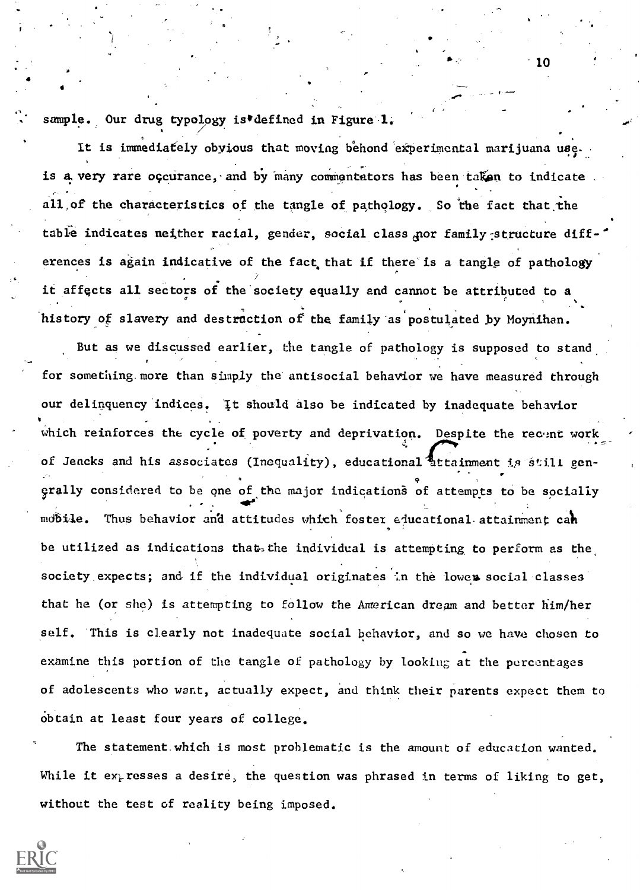sample. Our drug typology is defined in Figure 1.

It is immediately obyious that moving behond experimental marijuana use. is a very rare occurance, and by many commentators has been taken to indicate all of the characteristics of the tangle of pathology. So the fact that the table indicates neither racial, gender, social class nor family structure differences is again indicative of the fact that if there'is a tangle of pathology it affects all sectors of the society equally and cannot be attributed to a o history of slavery and destruction of the family as postulated by Moynihan.

But as we discussed earlier, the tangle of pathology is supposed to stand for something. more than simply the antisocial behavior we have measured through our delinquency indices. It should also be indicated by inadequate behavior which reinforces the cycle of poverty and deprivation. Despite the recent work of Jencks and his associates (Inequality), educational attainment is still gen-. exally considered to be one of the major indications of attempts to be socially . - 4sle'' . - 4sle'' . - 4sle'' . - 4sle'' . - 4sle'' . - 4sle'' . - 4sle'' . - 4sle'' . - 4sle'' . - 4sle'' . . mobile. Thus behavior and attitudes which foster educational attainment cah be utilized as indications that, the individual is attempting to perform as the society expects; and if the individual originates in the lower social classes that he (or she) is attempting to follow the American dream and better him/her self. This is clearly not inadequate social behavior, and so we have chosen to examine this portion of the tangle of pathology by looking at the percentages of adolescents who wart, actually expect, and think their parents expect them to Obtain at least four years of college.

The statement.which is most problematic is the amount of education wanted. While it expresses a desire, the question was phrased in terms of liking to get, without the test of reality being imposed.



10

- 1-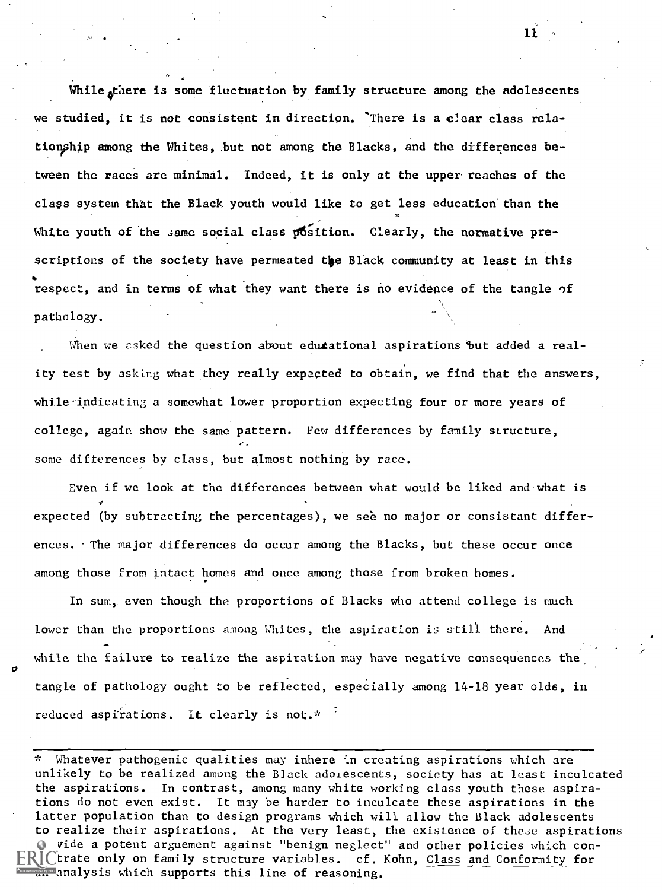While there is some fluctuation by family structure among the adolescents we studied, it is not consistent in direction. There is a clear class relationship among the Whites, but not among the Blacks, and the differences between the races are minimal. Indeed, it is only at the upper reaches of the class system that the Black youth would like to get less education than the White youth of the same social class position. Clearly, the normative prescriptions of the society have permeated the Black community at least in this respect, and in terms of what they want there is no evidence of the tangle of pathology.

."

When we asked the question about edutational aspirations but added a reality test by asking what they really expected to obtain, we find that the answers, while-indicating a somewhat lower proportion expecting four or more years of college, again show the same pattern. Few differences by family structure, some differences by class, but almost nothing by race.

Even if we look at the differences between what would be liked and what is expected (by subtracting the percentages), we see no major or consistant differences. The major differences do occur among the Blacks, but these occur once among those from intact homes and once among those from broken homes.

In sum, even though the proportions of Blacks who attend college is much lower than the proportions among Whites, the aspiration is still there. And while the failure to realize the aspiration may have negative consequences the tangle of pathology ought to be reflected, especially among 14-18 year olds, in reduced aspirations. It clearly is not.\*

\* Whatever pathogenic qualities may inhere in creating aspirations which are unlikely to be realized among the Black adorescents, society has at least inculcated the aspirations. In contrast, among many white working class youth these aspirations do not even exist. It may be harder to inculcate these aspirations in the latter population than to design programs which will allow the Black adolescents to realize their aspirations. At the very least, the existence of these aspirations provide a potent arguement against "benign neglect" and other policies which con- $\mathsf{FRIC}$ trate only on family structure variables. cf. Kohn, Class and Conformity for analysis which supports this line of reasoning.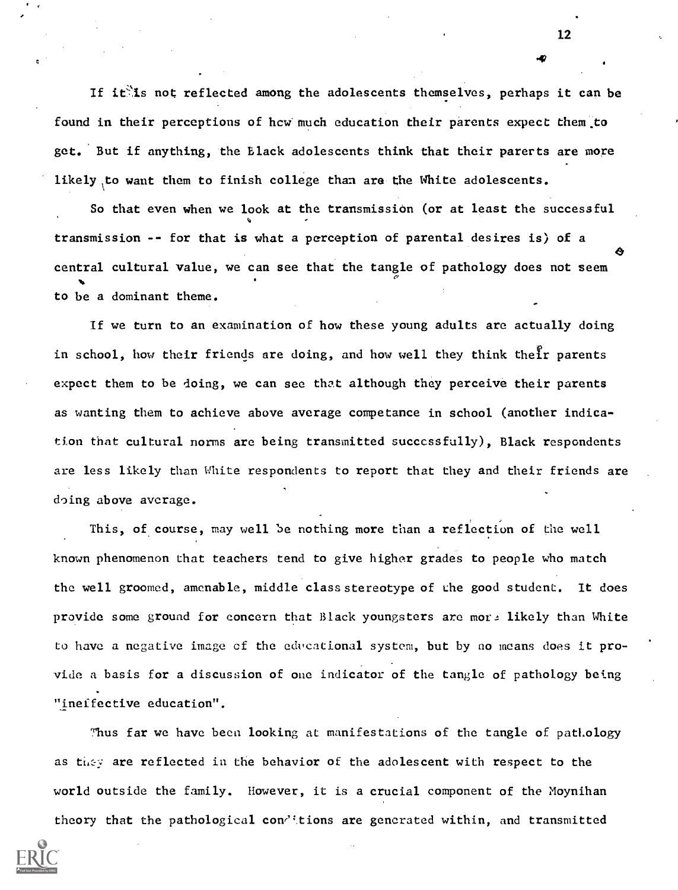If it is not reflected among the adolescents themselves, perhaps it can be found in their perceptions of hew much education their parents expect them to get. But if anything, the Black adolescents think that their parerts are more likely to want them to finish college than are the White adolescents.

So that even when we look at the transmission (or at least the successful transmission -- for that is what a perception of parental desires is) of a central cultural value, we can see that the tangle of pathology does not seem o to be a dominant theme.

If we turn to an examination of how these young adults are actually doing in school, how their friends are doing, and how well they think their parents expect them to be doing, we can see that although they perceive their parents as wanting them to achieve above average competence in school (another indication that cultural norms are being transmitted successfully), Black respondents are less likely than White respondents to report that they and their friends are doing above average.

This, of course, may well be nothing more than a reflection of the well known phenomenon that teachers tend to give higher grades to people who match the well groomed, amenable, middle class stereotype of the good student. It does provide some ground for concern that Black youngsters are more likely than White to have a negative image of the educational system, but by no means does it provide a basis for a discussion of one indicator of the tangle of pathology being "ineffective education".

Thus far we have been looking at manifestations of the tangle of pathology as they are reflected in the behavior of the adolescent with respect to the world outside the family. However, it is a crucial component of the Moynihan

theory that the pathological conditions are generated within, and transmitted

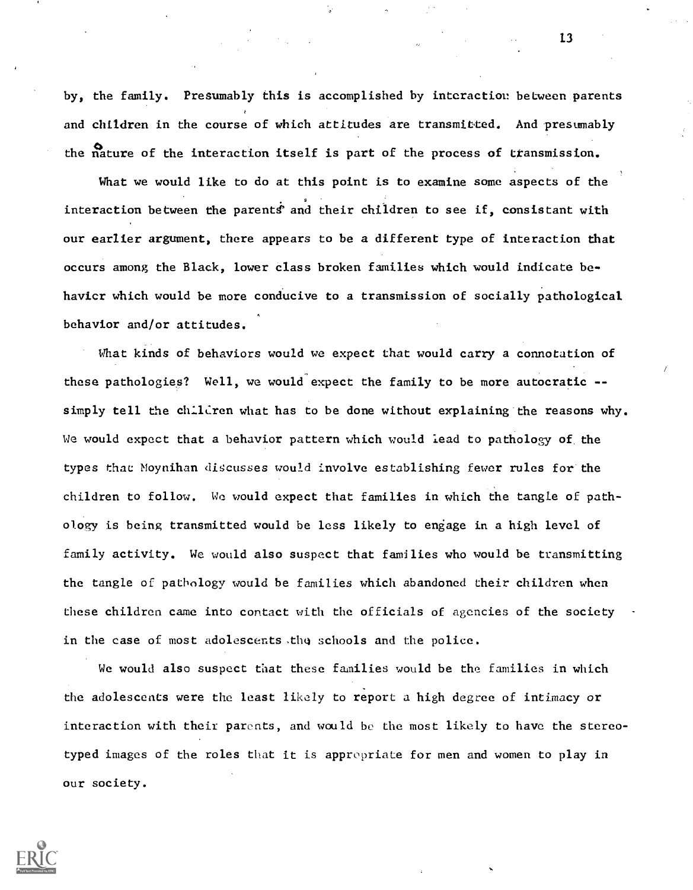by, the family. Presumably this is accomplished by interaction between parents and children in the course of which attitudes are transmitted. And presumably the nature of the interaction itself is part of the process of transmission.

What we would like to do at this point is to examine some aspects of the interaction between the parents' and their children to see if, consistant with our earlier argument, there appears to be a different type of interaction that occurs among the Black, lower class broken families which would indicate behavicr which would be more conducive to a transmission of socially pathological behavior and/or attitudes.

What kinds of behaviors would we expect that would carry a connotation of these pathologies? Well, we would expect the family to be more autocratic - simply tell the children what has to be done without explaining the reasons why. We would expect that a behavior pattern which would lead to pathology of the types that Moynihan discusses would involve establishing fewer rules for the children to follow. We would expect that families in which the tangle of pathology is being transmitted would be less likely to engage in a high level of family activity. We would also suspect that families who would be transmitting the tangle of pathology would be families which abandoned their children when these children came into contact with the officials of agencies of the society in the case of most adolescents the schools and the police.

We would also suspect that these families would be the families in which the adolescents were the least likely to report a high degree of intimacy or interaction with their parents, and would be the most likely to have the stereotyped images of the roles that it is appropriate for men and women to play in our society.

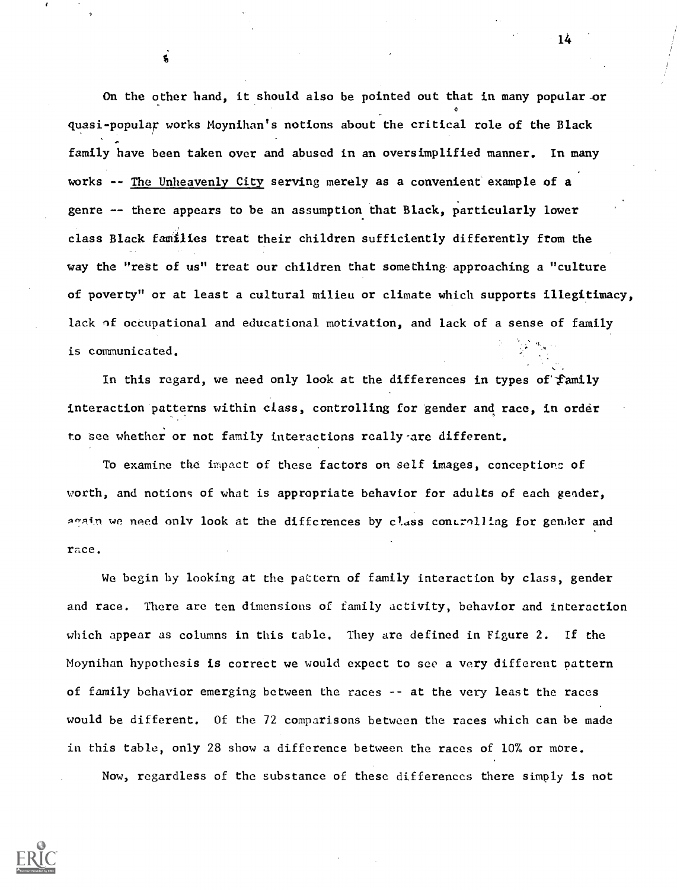On the other hand, it should also be pointed out that in many popular-or quasi-popular works Moynihan's notions about the critical role of the Black family have been taken over and abused in an oversimplified manner. In many works -- The Unheavenly City serving merely as a convenient example of a genre -- there appears to be an assumption that Black, particularly lower class Black families treat their children sufficiently differently ftom the way the "rest of us" treat our children that something approaching a "culture of poverty" or at least a cultural milieu or climate which supports illegitimacy, lack of occupational and educational motivation, and lack of a sense of family is communicated.

In this regard, we need only look at the differences in types of family interaction patterns within class, controlling for gender and race, in order to see whether or not family interactions really-are different.

To examine the impact of these factors on self images, conceptionc of worth, and notions of what is appropriate behavior for adults of each gender, anain we need only look at the differences by class controlling for gender and race.

We begin by looking at the pattern of family interaction by class, gender and race. There are ten dimensions of family activity, behavior and interaction which appear as columns in this table. They are defined in Figure 2. If the Moynihan hypothesis is correct we would expect to see a very different pattern of family behavior emerging between the races -- at the very least the races would be different. Of the 72 comparisons between the races which can be made in this table, only 28 show a difference between the races of 10% or more. Now, regardless of the substance of these differences there simply is not

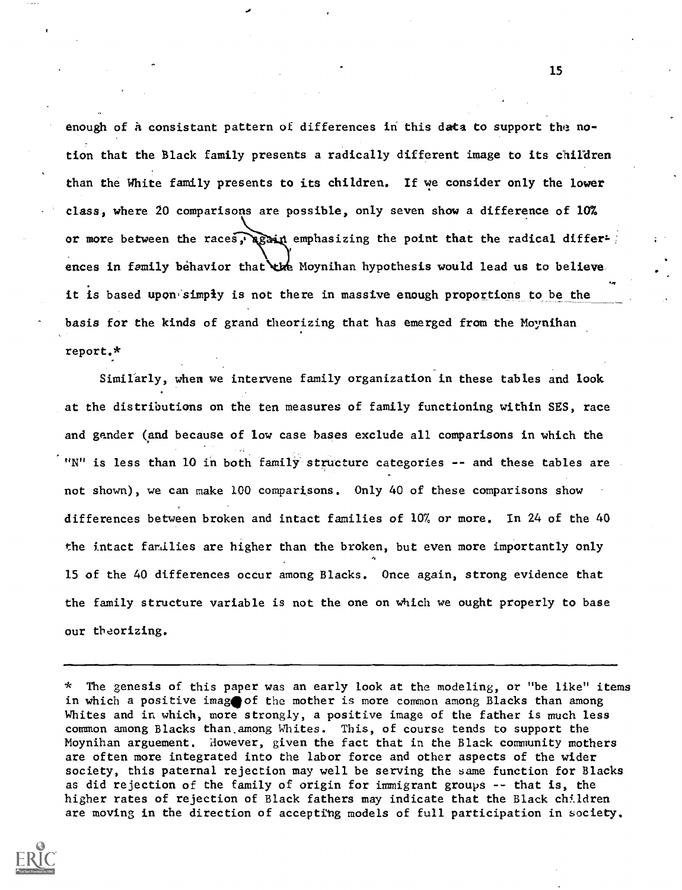enough of a consistant pattern of differences in this data to support the notion that the Black family presents a radically different image to its children than the White family presents to its children. If we consider only the lower class, where 20 comparisons are possible, only seven show a difference of 10% or more between the races, again emphasizing the point that the radical differences in family behavior that the Moynihan hypothesis would lead us to believe it is based upon simply is not there in massive enough proportions to be the basis for the kinds of grand theorizing that has emerged from the Moynihan report.\*

Similarly, when we intervene family organization in these tables and look at the distributions on the ten measures of family functioning within SES, race and gander (and because of low case bases exclude all comparisons in which the "N" is less than 10 in both family structure categories -- and these tables are not shown), we can make 100 comparisons. Only 40 of these comparisons show differences between broken and intact families of 10% or more. In 24 of the 40 the intact families are higher than the broken, but even more importantly only 15 of the 40 differences occur among Blacks. Once again, strong evidence that the family structure variable is not the one on which we ought properly to base our theorizing.

<sup>\*</sup> The genesis of this paper was an early look at the modeling, or "be like" items in which a positive image of the mother is more common among Blacks than among Whites and in which, more strongly, a positive image of the father is much less common among Blacks than.among Whites. This, of course tends to support the Moynihan arguement. However, given the fact that in the Black community mothers are often more integrated into the labor force and other aspects of the wider society, this paternal rejection may well be serving the same function for Blacks as did rejection of the family of origin for immigrant groups -- that is, the higher rates of rejection of Black fathers may indicate that the Black children are moving in the direction of accepting models of full participation in society.

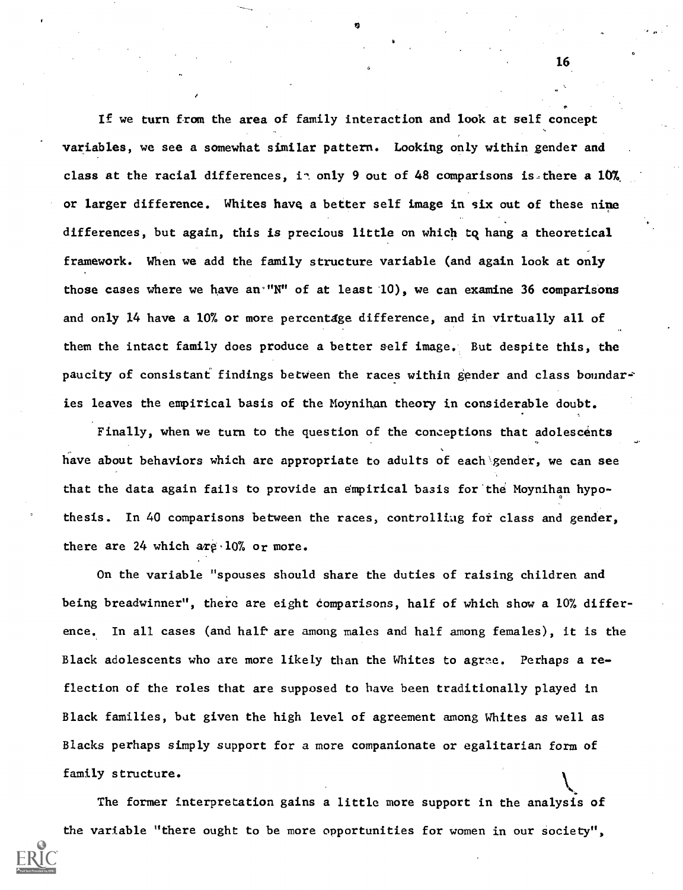If we turn from the area of family interaction and look at self concept variables, we see a somewhat similar pattern. Looking only within gender and class at the racial differences, in only 9 out of 48 comparisons is, there a 10% or larger difference. Whites have a better self image in six out of these nine differences, but again, this is precious little on which tq hang a theoretical framework. When we add the family structure variable (and again look at only those cases where we have an "N" of at least  $10$ ), we can examine 36 comparisons and only 14 have a 10% or more percentage difference, and in virtually all of them the intact family does produce a better self image. But despite this, the paucity of consistant findings between the races within gender and class boundaries leaves the empirical basis of the Moynihan theory in considerable doubt.

Finally, when we turn to the question of the conceptions that adolescents have about behaviors which are appropriate to adults of each gender, we can see that the data again fails to provide an empirical basis for the Moynihan hypothesis. In 40 comparisons between the races, controlling for class and gender, there are  $24$  which are  $10\%$  or more.

On the variable "spouses should share the duties of raising children and being breadwinner", there are eight comparisons, half of which show a 10% difference. In all cases (and half' are among males and half among females), it is the Black adolescents who are more likely than the Whites to agree. Perhaps a reflection of the roles that are supposed to have been traditionally played in Black families, but given the high level of agreement among Whites as well as Blacks perhaps simply support for a more companionate or egalitarian form of family structure.

The former interpretation gains a little more support in the analysis of the variable "there ought to be more opportunities for women in our society",

16

 $\mathcal{L}$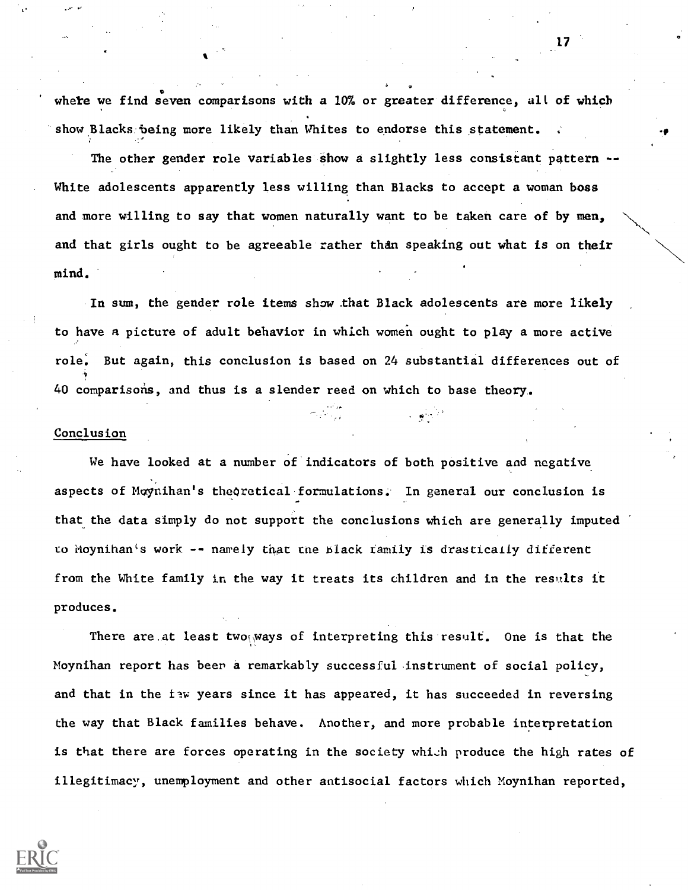whete we find seven comparisons with a 10% or greater difference, all of which show Blacks being more likely than Whites to endorse this statement.

The other gender role variables show a slightly less consistant pattern --White adolescents apparently less willing than Blacks to accept a woman boss and more willing to say that women naturally want to be taken care of by men, and that girls ought to be agreeable rather than speaking out what is on their mind.

In sum, the gender role items show .that Black adolescents are more likely to have a picture of adult behavior in which women ought to play a more active role: But again, this conclusion is based on 24 substantial differences out of 40 comparisons, and thus is a slender reed on which to base theory.

#### Conclusion

We have looked at a number of indicators of both positive and negative aspects of Moynihan's theoretical formulations. In general our conclusion is that the data simply do not support the conclusions which are generally imputed to Moynihan's work -- namely that cne black family is drasticaily different from the White family in the way it treats its children and in the results it produces.

There are at least two ways of interpreting this result. One is that the Moynihan report has beer a remarkably successful, instrument of social policy, and that in the flw years since it has appeared, it has succeeded in reversing the way that Black families behave. Another, and more probable interpretation is that there are forces operating in the society which produce the high rates of illegitimacy, unemployment and other antisocial factors which Moynihan reported,

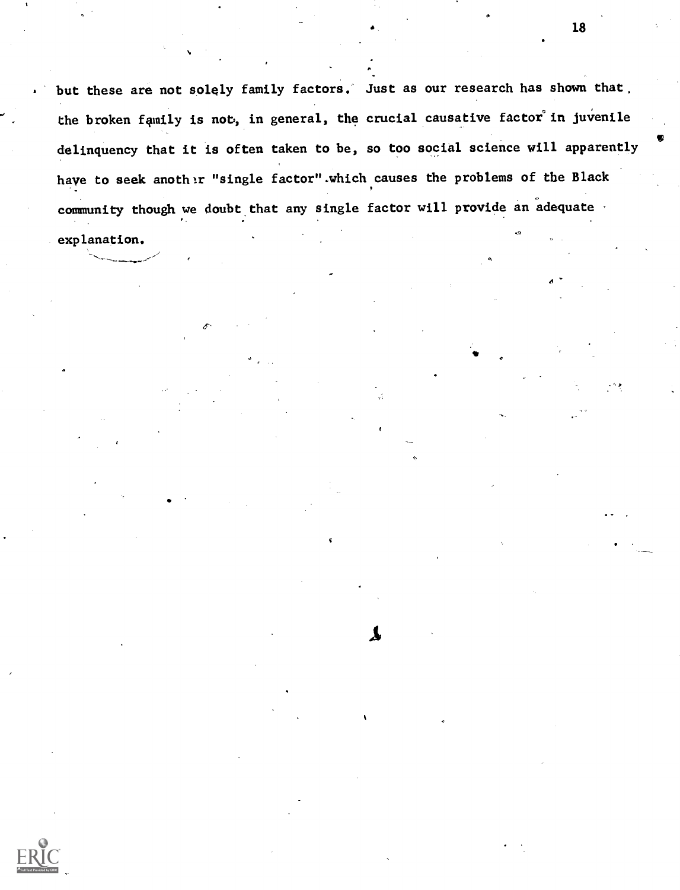but these are not solely family factors. Just as our research has shown that. the broken family is not, in general, the crucial causative factor in juvenile delinquency that it is often taken to be, so too social science will apparently have to seek another "single factor".which causes the problems of the Black community though we doubt that any single factor will provide an adequate

 $\boldsymbol{\lambda}$ 

explanation.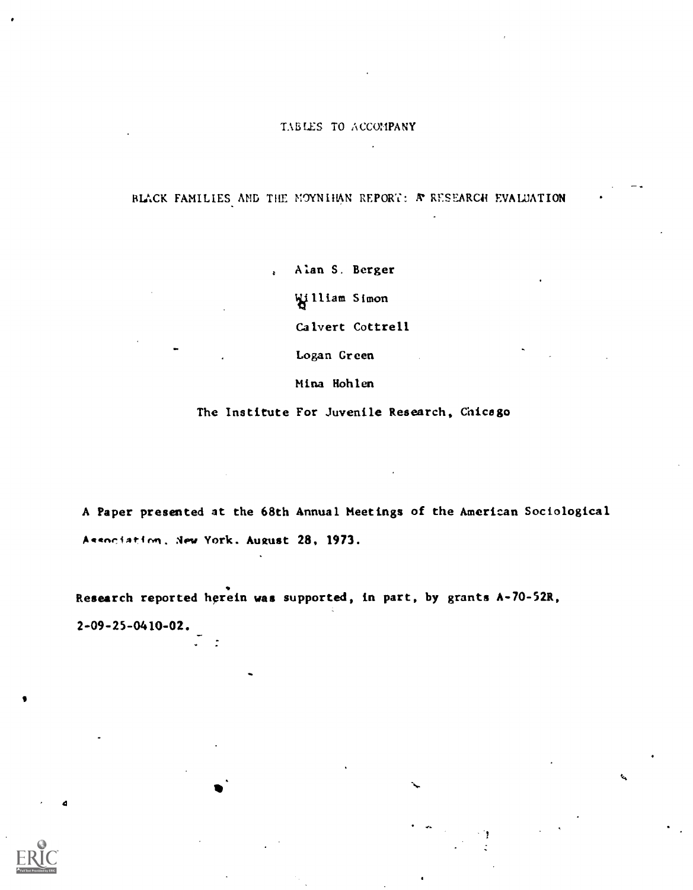### TABLES TO ACCOMPANY

# BLACK FAMILIES AND THE MOYNIHAN REPORT: A RESEARCH EVALUATION

, Alan S. Berger Wiliam Simon Calvert Cottrell Logan Green

Mina Hohlen

The Institute For Juvenile Research, Chicago

A Paper presented at the 68th Annual Meetings of the American Sociological Association, New York. August 28, 1973.

Research reported herein was supported, in part, by grants A-70-52R,

2-09-25-0410-02.

-

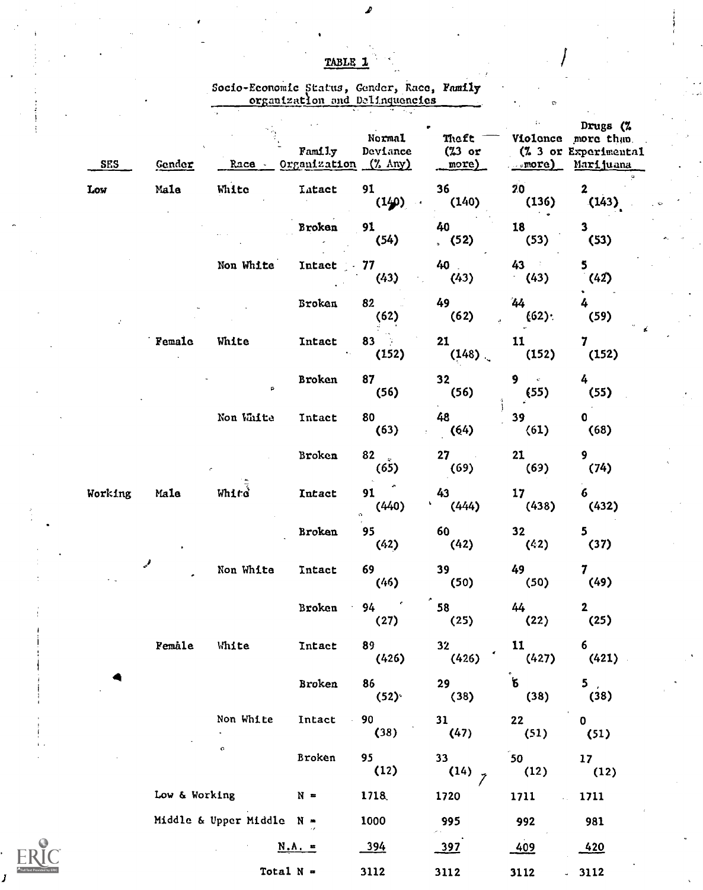| TABLE 1 |  |  |  |
|---------|--|--|--|
|         |  |  |  |

 $\mathcal{L}$ 

Socio-Economic Status, Gender, Race, Family organizatlon and Delinquencies

|                | <b>SES</b> | Gender        | Race -                    | Family<br>Organization (% Any) | Normal<br>Deviance | Theft<br>$(23$ or<br>more) | $\ddot{\phantom{0}}$<br>$_{\text{more}}$  | Drugs (%<br>Violonce more than<br>(% 3 or Experimental<br>Marijuana |  |
|----------------|------------|---------------|---------------------------|--------------------------------|--------------------|----------------------------|-------------------------------------------|---------------------------------------------------------------------|--|
|                | Low        | Male          | White                     | <b>Latact</b>                  | 91<br>(140)        | 36<br>(140)                | 20 <sub>2</sub><br>(136)<br>$\sim$ $\sim$ | $\mathbf{2}$<br>(143)                                               |  |
|                |            |               |                           | Broken                         | 91<br>(54)         | 40<br>(52)                 | 18<br>(53)                                | $\mathbf{3}$<br>(53)                                                |  |
|                |            |               | Non White                 | Intact                         | 77<br>(43)         | 40<br>(43)                 | 43<br>(43)                                | 5<br>(42)                                                           |  |
|                |            |               |                           | Broken                         | 82<br>(62)         | 49<br>(62)                 | 44<br>(62)                                | 4<br>(59)                                                           |  |
|                |            | Female        | White                     | Intact                         | $83 - 5$<br>(152)  | 21<br>(148)                | 11<br>(152)                               | 7<br>(152)                                                          |  |
|                |            |               | $\mathsf{p}$              | <b>Broken</b>                  | 87<br>(56)         | 32 <sub>2</sub><br>(56)    | 9<br>$\epsilon$<br>(55)                   | 4<br>(55)                                                           |  |
|                |            |               | Non White                 | Intact                         | 80<br>(63)         | 48<br>(64)                 | 39<br>(61)                                | $\mathbf{0}$<br>(68)                                                |  |
|                |            |               |                           | Broken                         | 82<br>(65)         | 27<br>(69)                 | 21<br>(69)                                | 9<br>(74)                                                           |  |
|                | Working    | Male          | White                     | Intact                         | 91<br>(440)        | 43<br>¥<br>(444)           | 17 <sub>1</sub><br>(438)                  | 6<br>(432)                                                          |  |
|                |            |               |                           | Broken                         | ó.<br>95<br>(42)   | 60<br>(42)                 | 32<br>(42)                                | 5<br>(37)                                                           |  |
|                |            |               | Non White                 | Intact                         | 69<br>(46)         | 39<br>(50)                 | 49<br>(50)                                | 7<br>(49)                                                           |  |
|                |            |               |                           | Broken                         | 94<br>(27)         | 58<br>(25)                 | 44<br>(22)                                | $\mathbf{2}$<br>(25)                                                |  |
|                |            | Female        | White                     | Intact                         | 89<br>(426)        | 32 <sub>2</sub><br>(426)   | 11<br>(427)                               | 6<br>(421)                                                          |  |
|                |            |               |                           | Broken                         | 86<br>(52)         | 29<br>(38)                 | $\mathbf{g}^{\dagger}$<br>(38)            | 5,<br>(38)                                                          |  |
|                |            |               | Non White                 | Intact                         | 90<br>(38)         | 31<br>(47)                 | 22<br>(51)                                | $\mathbf 0$<br>(51)                                                 |  |
|                |            |               | o                         | Broken                         | 95<br>(12)         | $33 -$<br>$(14)$ z         | 50 <sub>1</sub><br>(12)                   | 17 <sub>2</sub><br>(12)                                             |  |
|                |            | Low & Working |                           | $N =$                          | 1718               | 1720                       | 1711                                      | 1711                                                                |  |
|                |            |               | Middle & Upper Middle N = |                                | 1000               | 995                        | 992                                       | 981                                                                 |  |
| $\frac{9}{10}$ |            |               |                           | $N.A. =$                       | 394                | 397                        | 409                                       | 420                                                                 |  |
|                |            |               | Total $N =$               |                                | 3112               | 3112                       | 3112                                      | 3112                                                                |  |

 $\sum_{\text{odd of by ERIC}}$ d by ERIC

J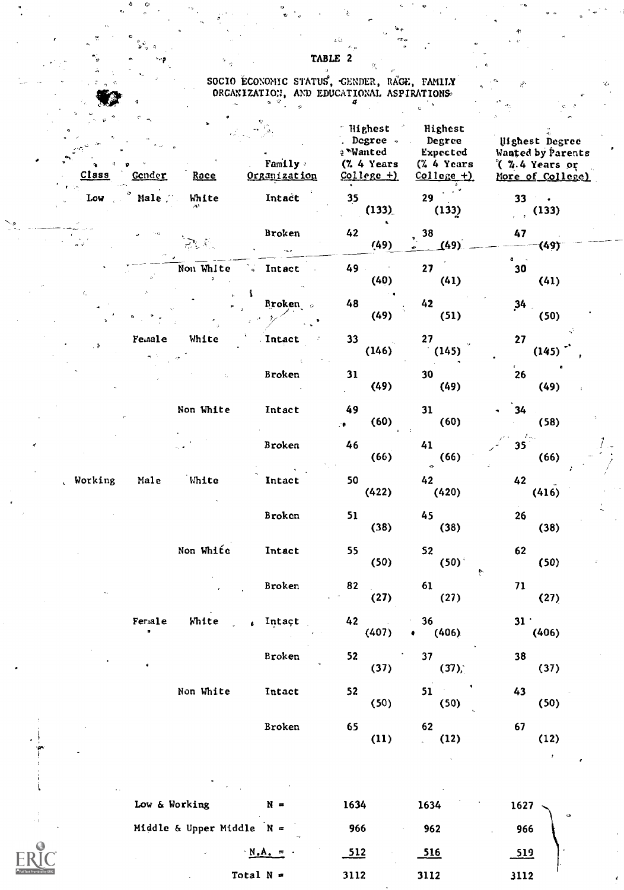# $\mathcal{L} = \{ \mathcal{L} \}$ SOCIO ECONOMIC STATUS, GENDER, RAGE, FAMILY And Allow ORGANIZATION, AND EDUCATIONAL ASPIRATIONS<br>
<sup>4</sup>

| Class     | Gender        | Roce                        | Family -<br>Organization | Mighest <sup>2</sup><br>∻ Wanted<br>(% 4 Years<br>$College +)$ | Highest<br>Degree Degree<br>Expected<br>(% 4 Years<br>$College +$ | Uighest Degree<br>Wanted by Parents<br>(%.4 Years or<br>More of College) |  |
|-----------|---------------|-----------------------------|--------------------------|----------------------------------------------------------------|-------------------------------------------------------------------|--------------------------------------------------------------------------|--|
| Low       | Male          | White                       | Intact                   | 35<br>(133)                                                    | 29<br>(133)                                                       | $33 - 1$<br>(133)<br>$\epsilon = \epsilon$                               |  |
|           |               |                             | Broken                   | 42<br>(49)                                                     | 38<br>(49)                                                        | 47<br>·(49) <sup>-</sup>                                                 |  |
|           |               | Non White                   | Intact<br>$\bullet$      | 49<br>(40)                                                     | 27<br>(41)                                                        | $\bullet \quad \bullet$<br>30<br>(41)                                    |  |
| ċ,        |               |                             | Broken o                 | 48<br>(49)                                                     | 42<br>(51)                                                        | 34<br>(50)                                                               |  |
|           | Female        | White                       | Intact                   | 33<br>(146)                                                    | 27<br>(145)                                                       | 27<br>(145)                                                              |  |
|           |               |                             | Broken                   | 31<br>(49)                                                     | 30<br>(49)                                                        | $\mathbf{^{'}}$ 26<br>(49)                                               |  |
|           |               | Non White                   | Intact                   | 49<br>(60)<br>,∙                                               | 31<br>(60)                                                        | 34<br>(58)                                                               |  |
|           |               |                             | Broken                   | 46<br>(66)                                                     | 41<br>(66)<br>$\ddot{\phantom{a}}$                                | 35 <sub>1</sub><br>(66)                                                  |  |
| , Working | Male          | White                       | Intact                   | 50<br>(422)                                                    | 42<br>(420)                                                       | 42<br>(416)                                                              |  |
|           |               |                             | Broken                   | 51<br>(38)                                                     | 45<br>(38)                                                        | 26<br>(38)                                                               |  |
|           |               | Non White                   | Intact                   | 55<br>(50)                                                     | 52<br>(50)<br>ł.                                                  | 62<br>(50)                                                               |  |
|           |               |                             | Broken                   | 82<br>(27)                                                     | 61<br>(27)                                                        | 71<br>(27)                                                               |  |
|           | Feriale       | White                       | Intact                   | $42 - 4$<br>(407)                                              | 36 —<br>(406)<br>٠                                                | $31+$<br>(406)                                                           |  |
|           |               |                             | Broken                   | 52<br>(37)                                                     | 37 <sub>2</sub><br>(37)                                           | 38<br>(37)                                                               |  |
|           |               | Non White                   | Intact                   | 52<br>(50)                                                     | $51$ and $\sim$<br>(50)                                           | 43<br>(50)                                                               |  |
|           |               |                             | Broken                   | 65<br>(11)                                                     | 62<br>(12)<br>$\mathcal{L}^{(1)}$                                 | 67<br>(12)<br>$\pmb{\ast}$                                               |  |
|           | Low & Working |                             | $N =$                    | 1634                                                           | 1634                                                              | 1627                                                                     |  |
|           |               | Middle & Upper Middle $N =$ |                          | 966                                                            | 962                                                               | ø<br>966                                                                 |  |

 $N.A. =$  512 516 519

Total N = 3112 3112 3112

TABLE 2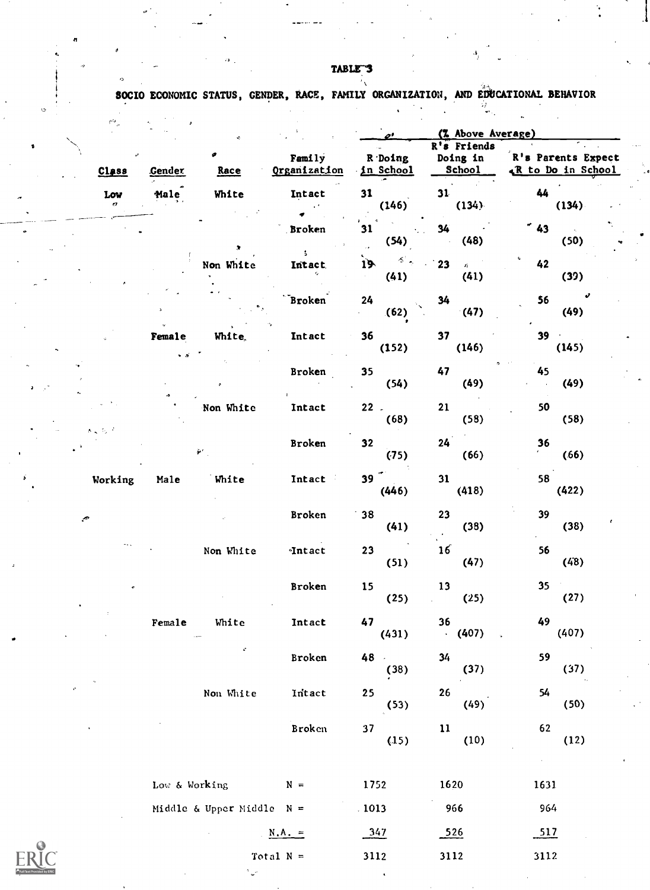TABLE-3

rt

 $\sum_{\lambda} \prod_{\text{full last Provides by EH}}$ 

SOCIO ECONOMIC STATUS, GENDER, RACE, FAMILY ORGANIZATION, AND EDUCATIONAL BEHAVIOR

|                               |               |                             |                        |                                | (% Above Average)                        |                                         |  |
|-------------------------------|---------------|-----------------------------|------------------------|--------------------------------|------------------------------------------|-----------------------------------------|--|
| <b>Class</b>                  | <b>Cender</b> | ø<br>Race                   | Family<br>Organization | R Doing<br>in School           | R's Friends<br>Doing in<br><b>School</b> | R's Parents Expect<br>& to Do in School |  |
| Low<br>o                      | Male          | White                       | Intact                 | 31<br>(146)                    | 31<br>(134)                              | 44<br>(134)                             |  |
|                               |               | $\bullet$                   | <b>Broken</b>          | 31<br>(54)                     | 34<br>(48)                               | $\sim 43$<br>(50)                       |  |
|                               |               | Non White                   | $\mathsf{S}$<br>Intact | ४ .<br>19 <sub>1</sub><br>(41) | 23<br>$\hat{H}$<br>(41)                  | 42<br>(39)                              |  |
|                               |               |                             | Broken                 | 24<br>(62)                     | 34<br>(47)                               | 56<br>(49)                              |  |
|                               | Female<br>- 6 | White,                      | Intact                 | 36<br>(152)                    | 37<br>(146)                              | 39<br>(145)                             |  |
|                               |               |                             | Broken                 | 35<br>(54)                     | 47<br>(49)                               | 45<br>(49)                              |  |
| $\mathbf{s} = \mathbf{r}_1 +$ |               | Non White                   | Intact                 | $22$ .<br>(68)                 | 21<br>(58)                               | 50<br>(58)                              |  |
|                               |               | $\tilde{\bm{r}}'$ .         | Broken                 | 32<br>(75)                     | 24<br>(66)                               | 36<br>(66)                              |  |
| Working                       | Male          | White                       | Intact                 | 39 <sup>27</sup><br>(446)      | 31<br>(418)                              | 58<br>(422)                             |  |
| ç,                            |               |                             | Broken                 | 38<br>(41)                     | 23<br>(38)                               | 39<br>(38)                              |  |
|                               |               | Non White                   | <b>Intact</b>          | 23<br>(51)                     | 16<br>(47)                               | 56<br>(48)                              |  |
|                               |               |                             | Broken                 | 15<br>(25)                     | 13<br>(25)                               | 35<br>(27)                              |  |
|                               | Female        | White                       | Intact                 | 47<br>(431)                    | 36<br>(407)                              | 49<br>(407)                             |  |
|                               |               | $\mathcal{C}$               | Broken                 | 48<br>(38)                     | 34<br>(37)                               | 59<br>(37)                              |  |
|                               |               | Non White                   | Intact                 | 25<br>(53)                     | 26<br>(49)                               | 54<br>(50)                              |  |
|                               |               |                             | Broken                 | 37<br>(15)                     | $\mathbf{11}$<br>(10)                    | 62<br>(12)                              |  |
|                               | Low & Working |                             | $N =$                  | 1752                           | 1620                                     | $\alpha$<br>1631                        |  |
|                               |               | Middle & Upper Middle $N =$ |                        | .1013                          | 966                                      | 964                                     |  |
|                               |               |                             | $N.A. =$               | 347                            | 526                                      | 517                                     |  |
|                               |               |                             | Total $N =$            | 3112                           | 3112                                     | 3112                                    |  |
|                               |               |                             |                        |                                |                                          |                                         |  |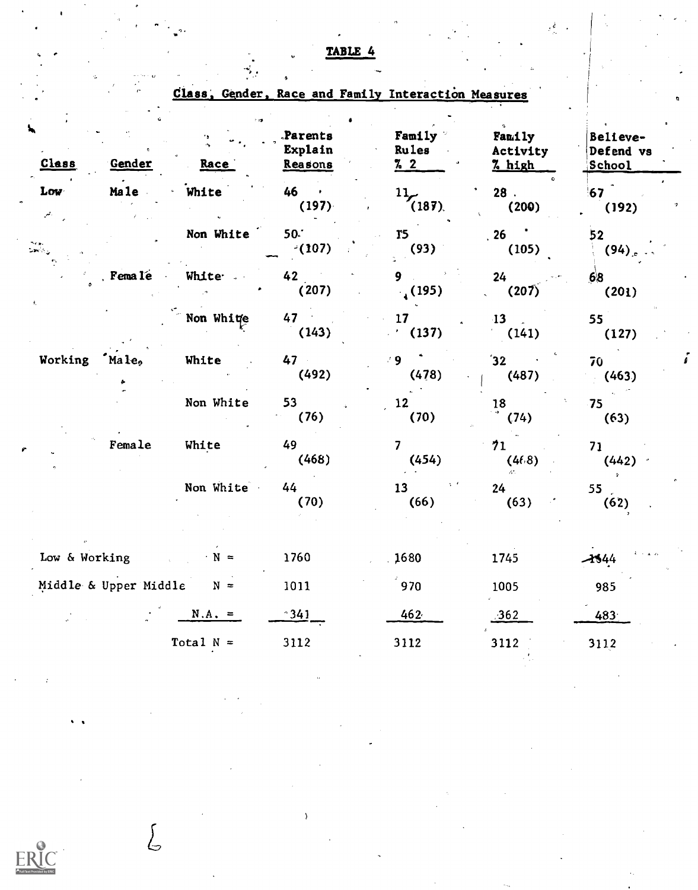|               |           |                             |                               | Class, Gender, Race and Family Interaction Measures |                              |                                        |
|---------------|-----------|-----------------------------|-------------------------------|-----------------------------------------------------|------------------------------|----------------------------------------|
| Class         | Gender    | Race                        | Parents<br>Explain<br>Reasons | Family<br>Rules<br>$\frac{7}{2}$                    | Family<br>Activity<br>% high | Believe-<br>Defend vs<br><b>School</b> |
| Low           | Male      | White                       | 46<br>(197)                   | $^{11}$ (187).                                      | 28<br>(200)                  | $67$ <sup>-1</sup><br>(192)            |
|               |           | Non White                   | 50.7<br>(107)                 | <b>T5</b><br>(93)                                   | .26<br>(105)                 | 52 <sub>2</sub><br>$(94)$ .            |
|               | Fema le   | White .                     | 42<br>(207)                   | (195)                                               | 24<br>(207)                  | 68<br>(201)                            |
|               |           | Non White                   | $47 -$<br>(143)               | 17<br>(137)                                         | 13<br>(141)                  | 55 <sup>7</sup><br>(127)               |
| Working       | $M = 1e2$ | White                       | 47<br>(492)                   | $-9$<br>(478)                                       | 32 <sub>1</sub><br>(487)     | 70<br>(463)                            |
|               |           | Non White                   | 53<br>(76)                    | 12 <sup>2</sup><br>(70)                             | $\frac{18}{1}$<br>(74)       | 75<br>(63)                             |
|               | Female    | White                       | 49<br>(468)                   | 7<br>(454)                                          | 71<br>(46.8)                 | 71<br>(442)                            |
|               |           | Non White                   | 44<br>(70)                    | 13<br>(66)                                          | 24<br>(63)                   | 55 <sub>2</sub><br>(62)                |
| Low & Working |           | $\cdot$ N =                 | 1760                          | 1680                                                | 1745                         | $-1544$                                |
|               |           | Middle & Upper Middle $N =$ | 1011                          | 970                                                 | 1005                         | 985                                    |
|               |           | $N.A. =$                    | $^{\circ}341$                 | 462                                                 | 362                          | 483                                    |
|               |           | Total $N =$                 | 3112                          | 3112                                                | 3112                         | 3112                                   |

# TABLE 4

 $\mathcal{A}^{\pm}$  .

Ý,

 $\int_{\mathbb{C}}$ 

 $ERIC$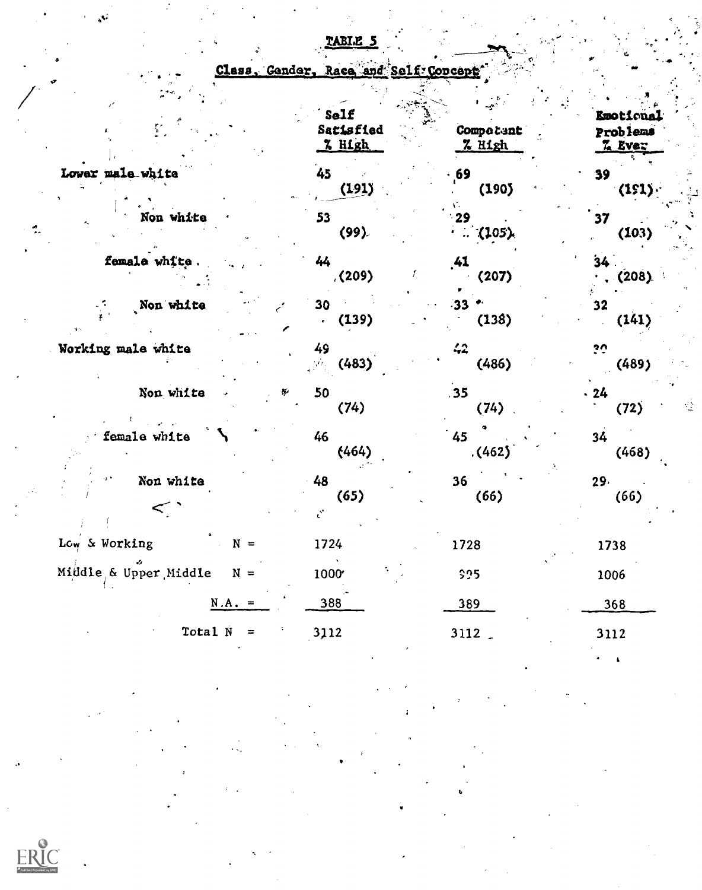|                                | Self<br>Satisfied<br>7. High | Competent<br>7 High     | <b>Emotional</b><br>Problems<br><b>Z</b> Ever |
|--------------------------------|------------------------------|-------------------------|-----------------------------------------------|
| Lower male white               | 45<br>(191)                  | 69<br>(190)             | 39<br>(151)                                   |
| Non white                      | 53<br>(99)                   | 29<br>(105)             | 37<br>(103)                                   |
| female white.                  | 44<br>(209)                  | .41<br>(207)            | 34<br>(208)                                   |
| Non white                      | 30<br>(139)<br>é.            | 33<br>(138)             | 32<br>(141)                                   |
| Working male white             | 49<br>(483)<br>ΥŻ.           | 42<br>(486)             | ن ڏ<br>(489)                                  |
| Non white<br>Ŋ.                | 50<br>(74)                   | .35<br>(74)             | $-24$<br>$\frac{1}{2}$<br>(72)                |
| female white                   | 46<br>(464)                  | 45<br>(462)             | 34<br>(468)                                   |
| Non white<br>$\lt$             | 48<br>(65)                   | 36 <sub>2</sub><br>(66) | 29.<br>(66)                                   |
| Low & Working<br>$N =$         | 1724                         | 1728                    | 1738                                          |
| Middle & Upper Middle<br>$N =$ | 1000                         | \$95                    | 1006                                          |
| $N.A. =$                       | 388                          | 389                     | 368                                           |
| $Total N =$                    | 3112                         | 3112.                   | 3112                                          |
|                                |                              |                         |                                               |

# TABI.E

Class, Gender, Race and Self Concept

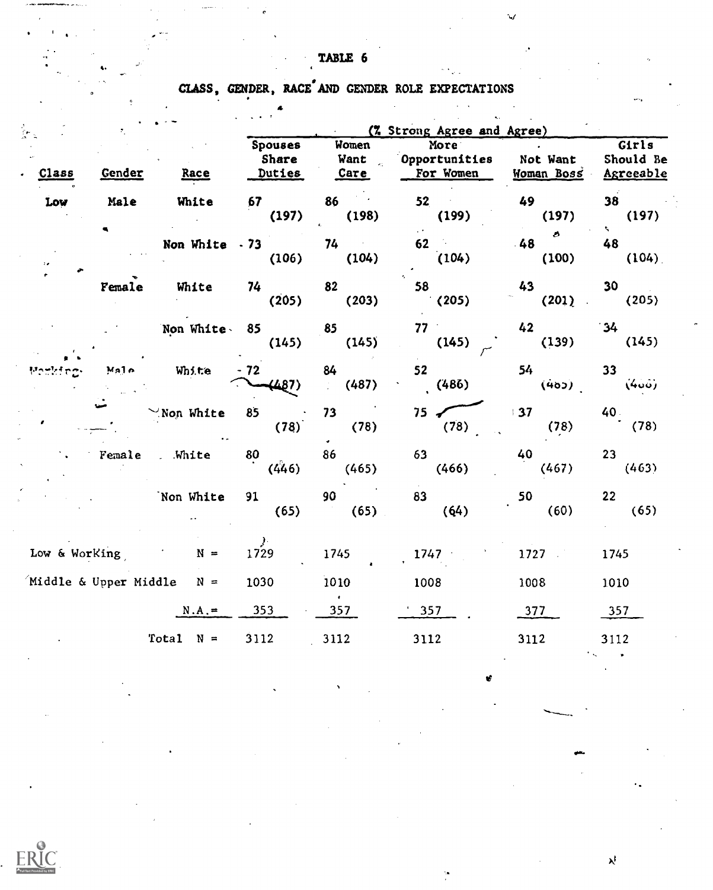TABLE 6

 $\mathbf{t} = \begin{bmatrix} \mathbf{t}^T & \mathbf{t}^T & \mathbf{t}^T & \mathbf{t}^T & \mathbf{t}^T & \mathbf{t}^T & \mathbf{t}^T & \mathbf{t}^T & \mathbf{t}^T & \mathbf{t}^T & \mathbf{t}^T & \mathbf{t}^T & \mathbf{t}^T & \mathbf{t}^T & \mathbf{t}^T & \mathbf{t}^T & \mathbf{t}^T & \mathbf{t}^T & \mathbf{t}^T & \mathbf{t}^T & \mathbf{t}^T & \mathbf{t}^T & \mathbf{t}^T &$ 

CLASS, GENDER, RACE AND GENDER ROLE EXPECTATIONS

4

|                       |                               |                | (7 Strong Agree and Agree)          |                                                |                                           |                        |                                 |  |
|-----------------------|-------------------------------|----------------|-------------------------------------|------------------------------------------------|-------------------------------------------|------------------------|---------------------------------|--|
| Class                 | Gender                        | Race           | <b>Spouses</b><br>Share<br>Duties   | Women<br>Want<br>i.<br>Voqealar<br><u>Care</u> | More<br>Opportunities<br>For Women        | Not Want<br>Moman Boss | Girls<br>Should Be<br>Agreeable |  |
| Low                   | Male                          | White          | 67<br>(197)                         | 86<br>(198)                                    | 52<br>(199)                               | 49<br>(197)            | 38<br>(197)                     |  |
|                       |                               | Non White - 73 | (106)                               | 74<br>(104)                                    | $\mathcal{L}(\mathcal{F})$<br>62<br>(104) | Ø.<br>48<br>(100)      | $\mathcal{L}$<br>48<br>(104)    |  |
|                       | Female                        | White          | 74<br>(205)                         | 82<br>(203)                                    | 58<br>(205)                               | 43<br>(201)            | 30<br>(205)                     |  |
|                       |                               | Non White 85   | (145)                               | 85<br>(145)                                    | $77 -$<br>(145)                           | 42<br>(139)            | 34<br>(145)                     |  |
|                       | M <sub>2</sub> 1 <sub>0</sub> | White          | $-72$<br>(487)                      | 84<br>(487)                                    | 52<br>(486)                               | 54<br>(402)            | 33 <sup>°</sup><br>(400)        |  |
|                       |                               | Non White      | 85<br>(78)                          | 73<br>(78)                                     | $75 \sim$<br>(78)                         | 37<br>(78)             | 40.<br>(78)                     |  |
|                       | Female                        | . White        | 80<br>(446)                         | 86<br>(465)                                    | 63<br>(466)                               | 40<br>(467)            | $23 -$<br>(463)                 |  |
|                       |                               | Non White      | 91<br>(65)                          | 90<br>(65)                                     | 83<br>(64)                                | 50<br>(60)             | 22 <sub>2</sub><br>(65)         |  |
| Low & Working         |                               | $N =$          | $\mathcal{Y}^{\mathcal{C}}$<br>1729 | 1745                                           | 1747                                      | 1727                   | 1745                            |  |
| Middle & Upper Middle |                               | $N =$          | 1030                                | 1010                                           | 1008                                      | 1008                   | 1010                            |  |
|                       |                               | $N.A. =$       | 353                                 | 357                                            | 357                                       | 377                    | 357                             |  |
|                       |                               | Total $N =$    | 3112                                | 3112                                           | 3112                                      | 3112                   | 3112                            |  |

OM.

 $\lambda^{\dagger}$ 

ERIC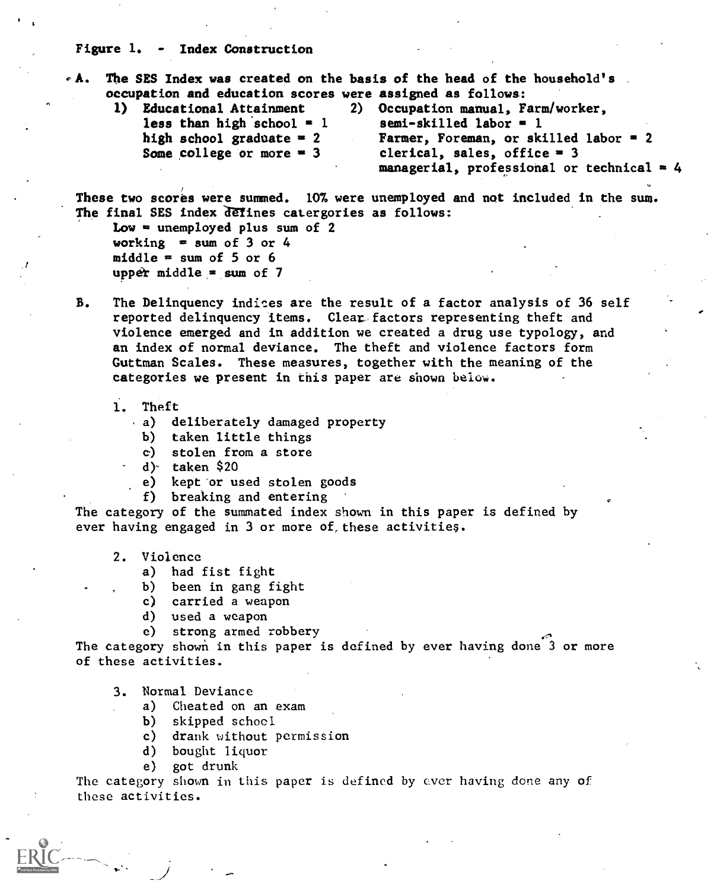#### Figure 1. - Index Construction

The SES Index was created on the basis of the head of the household's occupation and education scores were assigned as follows.:

1) Educational Attainment 2) Occupation manual, Farm/worker,<br>less than high school = 1 semi-skilled labor = 1 less than high school =  $1$ high school graduate = 2 Farmer, Foreman, or skilled labor = 2<br>Some college or more = 3 clerical, sales, office = 3 clerical, sales, office  $= 3$ managerial, professional or technical  $= 4$ 

These two scores were summed. 107. were unemployed and not included in the sum. The final SES index defines catergories as follows:

Low  $=$  unemployed plus sum of 2 working  $=$  sum of 3 or 4 middle  $=$  sum of 5 or 6 upper middle  $=$  sum of 7

- B. The Delinquency indices are the result of a factor analysis of 36 self reported delinquency items. Clear factors representing theft and violence emerged and in addition we created a drug use typology, and an index of normal deviance. The theft and violence factors form Guttman Scales. These measures, together with the meaning of the categories we present in this paper are shown below.
	- 1. Theft
		- a) deliberately damaged property
			- b) taken little things
			- c) stolen from a store
		- d)- taken \$20
		- e) kept or used stolen goods
		- f) breaking and entering

The category of the summated index shown in this paper is defined by ever having engaged in 3 or more of these activities.

- 2. Violence
	- a) had fist fight
	- b) been in gang fight
	- c) carried a weapon
	- d) used a weapon
	- e) strong armed robbery

The category shown in this paper is defined by ever having done 3 or more of these activities.

- 3. Normal Deviance
	- a) Cheated on an exam
	- b) skipped school
	- c) drank without permission
	- d) bought liquor
	- e) got drunk

The category shown in this paper is defined by ever having done any of these activities.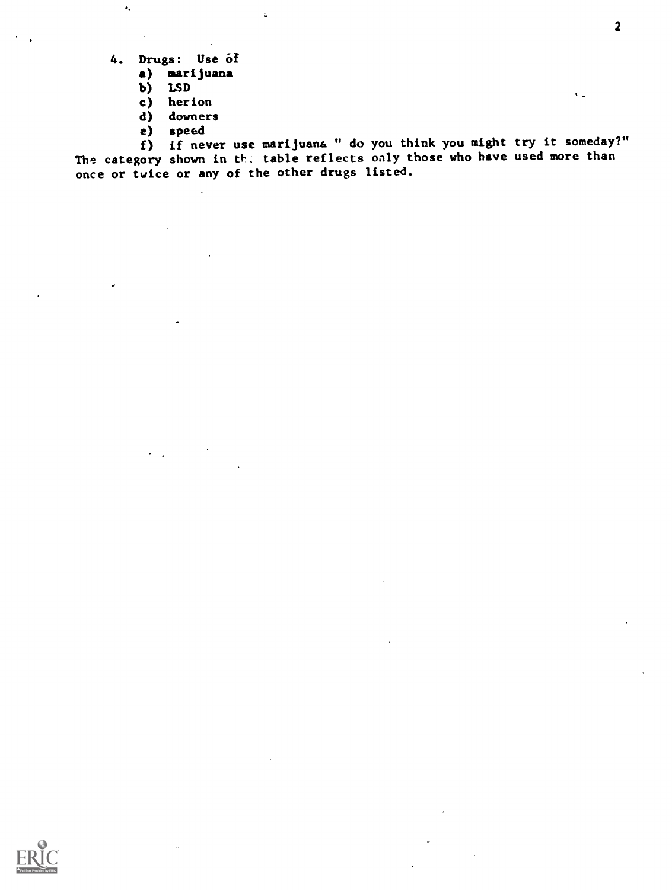4. Drugs: Use of

 $\bullet_\star$ 

a) marijuana

 $\bar{z}$ 

- b) LSD
- c) herion
- d) downers

 $\mathbb{R}^2$ 

a) speed

f) if never use marijuana " do you think you might try it someday?" The category shown in th. table reflects only those who have used more than once or twice or any of the other drugs listed.



 $\mathbf{C}_{\mathbf{u}}$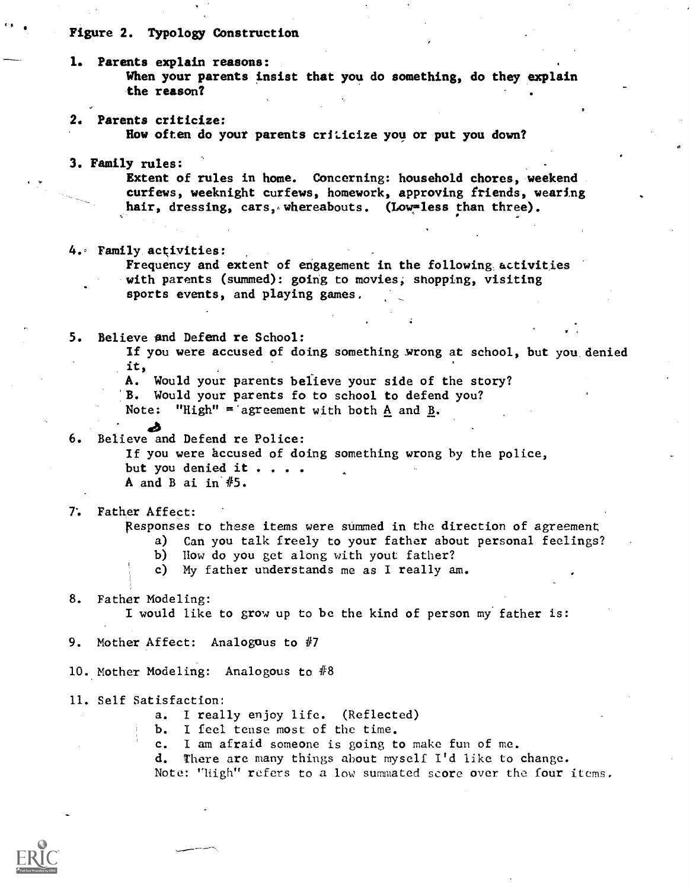## Figure 2. Typology Construction

1. Parents explain reasons: When your parents insist that you do something, do they explain the reason? 2. Parents criticize: How often do your parents criticize you or put you down? 3. Family rules: Extent of rules in home. Concerning: household chores, weekend curfews, weeknight curfews, homework, approving friends, wearing hair, dressing, cars, whereabouts. (Low=less than three). 4. Family activities: Frequency and extent of engagement in the following activities with parents (summed): going to movies, shopping, visiting sports events, and playing games, 5. Believe and Defend re School: If you were accused of doing something wrong at school, but you denied it, A. Would your parents believe your side of the story? B. Would your parents fo to school to defend you? Note: "High" = agreement with both  $\underline{A}$  and  $\underline{B}$ . ab 6. Believe and Defend re Police: If you were accused of doing something wrong by the police, but you denied it . . . . A and B ai in #5. 7'. Father Affect: Responses to these items were summed in the direction of agreement a) Can you talk freely to your father about personal feelings? b) How do you get along with yout father? c) My father understands me as I really am. 8. Father Modeling: I would like to grow up to be the kind of person my father is: 9. Mother Affect: Analogus to #7 10. Mother Modeling: Analogous to #8 11. Self Satisfaction: a. I really enjoy life. (Reflected) b. I feel tense most of the time. c. I am afraid someone is going to make fun of me. d. There are many things about myself I'd like to change. Note: "High" refers to a low summated score over the four items.

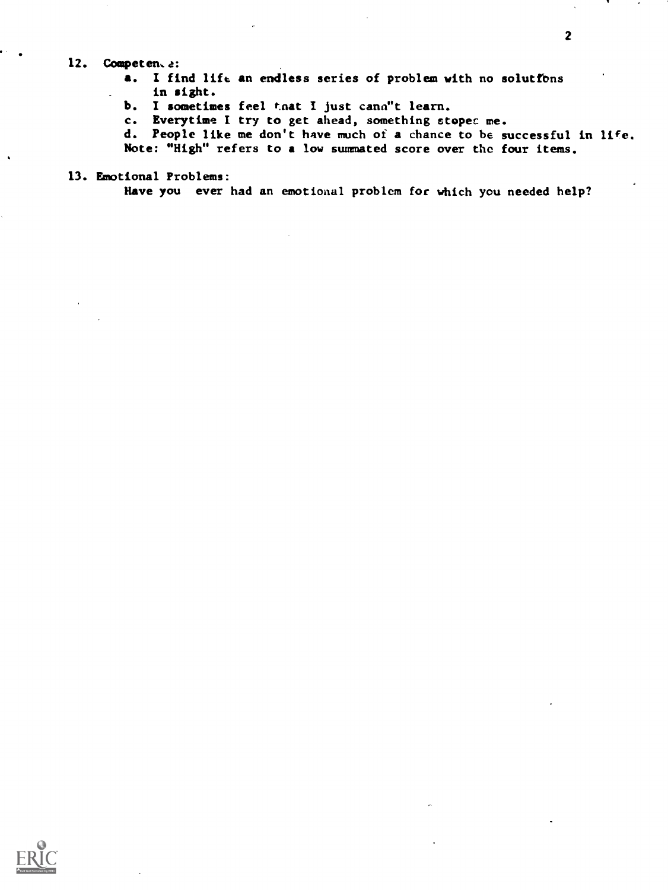## 12. Competents:

- a. I find lift an endless series of problem with no solutfons in sight.
- b. I sometimes feel that I just cann"t learn.
- c. Everytime I try to get ahead, something stopec me.
- d. People like me don't have much of a chance to be successful in life.

Note: "High" refers to a low summated score over the four items.

13. Emotional Problems:

Have you ever had an emotional problem for which you needed help?

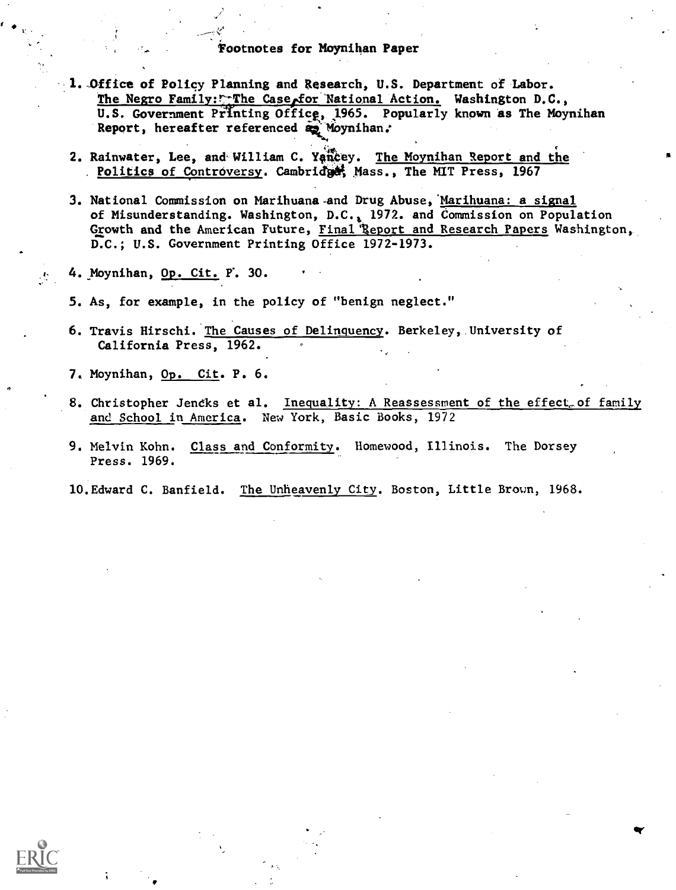## 'footnotes for Moynihan Paper

- 1. Office of Policy Planning and Research, U.S. Department of Labor. The Negro Family: $r$ The Case for National Action. Washington D.C., U.S. Government Printing Office, 1965. Popularly known as The Moynihan Report, hereafter referenced a Moynihan.
- 2. Rainwater, Lee, and William C. Yancey. The Moynihan Report and the Politics of Controversy. Cambridget Mass., The MIT Press, 1967
- 3. National Commission on Marihuana-and Drug Abuse,'Marihuana: a signal of Misunderstanding. Washington, D.C.; 1972. and Commission on Population Growth and the American Future, Final Report and Research Papers Washington, D.C.; U.S. Government Printing Office 1972-1973.
- 4. Moynihan, Op. Cit. P. 30.
- 5. As, for example, in the policy of "benign neglect."
- 6. Travis Hirschi. The Causes of Delinquency. Berkeley, University of California Press, 1962.
- 7. Moynihan, Op. Cit. P. 6.
- 8. Christopher Jencks et al. Inequality: A Reassessment of the effect of family and School in America. New York, Basic Books, 1972

ar

- 9. Melvin Kohn. Class and Conformity. Homewood, Illinois. The Dorsey Press. 1969.
- 10.Edward C. Banfield. The Unheavenly City. Boston, Little Brown, 1968.